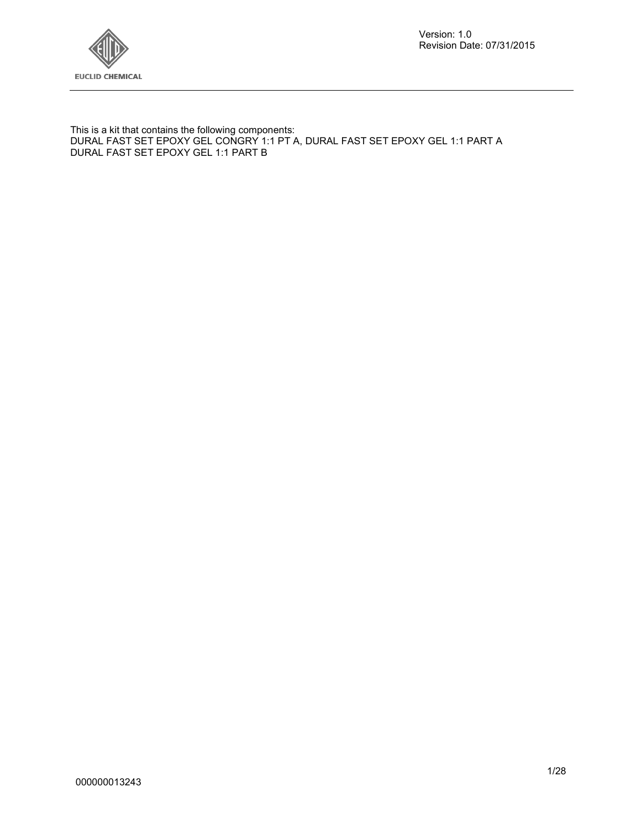

Version: 1.0 Revision Date: 07/31/2015

This is a kit that contains the following components: DURAL FAST SET EPOXY GEL CONGRY 1:1 PT A, DURAL FAST SET EPOXY GEL 1:1 PART A DURAL FAST SET EPOXY GEL 1:1 PART B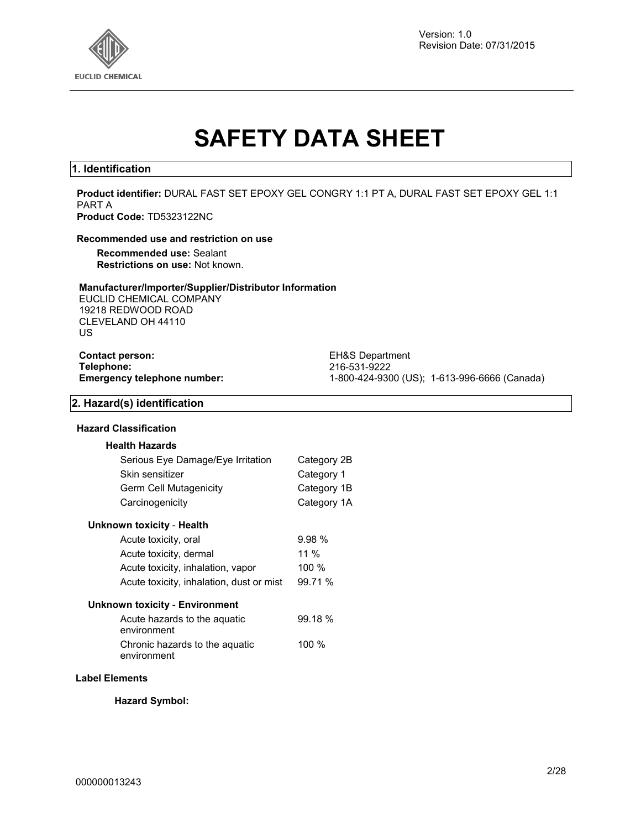

Version: 1.0 Revision Date: 07/31/2015

# **SAFETY DATA SHEET**

#### **1. Identification**

**Product identifier:** DURAL FAST SET EPOXY GEL CONGRY 1:1 PT A, DURAL FAST SET EPOXY GEL 1:1 PART A **Product Code:** TD5323122NC

#### **Recommended use and restriction on use**

**Recommended use:** Sealant **Restrictions on use:** Not known.

#### **Manufacturer/Importer/Supplier/Distributor Information**

EUCLID CHEMICAL COMPANY 19218 REDWOOD ROAD CLEVELAND OH 44110 US

**Contact person:** EH&S Department<br> **Telephone:** 216-531-9222

**Telephone:** 216-531-9222 **Emergency telephone number:** 1-800-424-9300 (US); 1-613-996-6666 (Canada)

#### **2. Hazard(s) identification**

#### **Hazard Classification**

| <b>Health Hazards</b>                         |             |
|-----------------------------------------------|-------------|
| Serious Eye Damage/Eye Irritation             | Category 2B |
| Skin sensitizer                               | Category 1  |
| Germ Cell Mutagenicity                        | Category 1B |
| Carcinogenicity                               | Category 1A |
| Unknown toxicity - Health                     |             |
| Acute toxicity, oral                          | 9.98%       |
| Acute toxicity, dermal                        | 11 %        |
| Acute toxicity, inhalation, vapor             | 100 %       |
| Acute toxicity, inhalation, dust or mist      | 99.71 %     |
| Unknown toxicity - Environment                |             |
| Acute hazards to the aquatic<br>environment   | 99.18 %     |
| Chronic hazards to the aquatic<br>environment | 100 %       |
|                                               |             |

#### **Label Elements**

**Hazard Symbol:**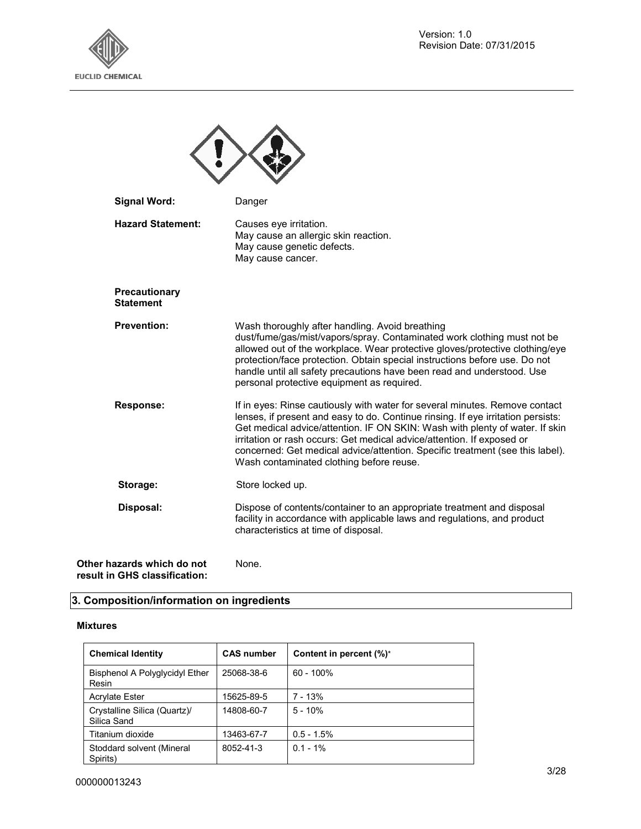



| <b>Signal Word:</b>                      | Danger                                                                                                                                                                                                                                                                                                                                                                                                                                                 |
|------------------------------------------|--------------------------------------------------------------------------------------------------------------------------------------------------------------------------------------------------------------------------------------------------------------------------------------------------------------------------------------------------------------------------------------------------------------------------------------------------------|
| <b>Hazard Statement:</b>                 | Causes eye irritation.<br>May cause an allergic skin reaction.<br>May cause genetic defects.<br>May cause cancer.                                                                                                                                                                                                                                                                                                                                      |
| <b>Precautionary</b><br><b>Statement</b> |                                                                                                                                                                                                                                                                                                                                                                                                                                                        |
| <b>Prevention:</b>                       | Wash thoroughly after handling. Avoid breathing<br>dust/fume/gas/mist/vapors/spray. Contaminated work clothing must not be<br>allowed out of the workplace. Wear protective gloves/protective clothing/eye<br>protection/face protection. Obtain special instructions before use. Do not<br>handle until all safety precautions have been read and understood. Use<br>personal protective equipment as required.                                       |
| Response:                                | If in eyes: Rinse cautiously with water for several minutes. Remove contact<br>lenses, if present and easy to do. Continue rinsing. If eye irritation persists:<br>Get medical advice/attention. IF ON SKIN: Wash with plenty of water. If skin<br>irritation or rash occurs: Get medical advice/attention. If exposed or<br>concerned: Get medical advice/attention. Specific treatment (see this label).<br>Wash contaminated clothing before reuse. |
| Storage:                                 | Store locked up.                                                                                                                                                                                                                                                                                                                                                                                                                                       |
| Disposal:                                | Dispose of contents/container to an appropriate treatment and disposal<br>facility in accordance with applicable laws and regulations, and product<br>characteristics at time of disposal.                                                                                                                                                                                                                                                             |
| azards which do not                      | None.                                                                                                                                                                                                                                                                                                                                                                                                                                                  |

**Other hazards which do not result in GHS classification:** 

## **3. Composition/information on ingredients**

#### **Mixtures**

| <b>Chemical Identity</b>                    | <b>CAS number</b> | Content in percent $(\%)^*$ |
|---------------------------------------------|-------------------|-----------------------------|
| Bisphenol A Polyglycidyl Ether<br>Resin     | 25068-38-6        | $60 - 100\%$                |
| <b>Acrylate Ester</b>                       | 15625-89-5        | 7 - 13%                     |
| Crystalline Silica (Quartz)/<br>Silica Sand | 14808-60-7        | $5 - 10%$                   |
| Titanium dioxide                            | 13463-67-7        | $0.5 - 1.5%$                |
| Stoddard solvent (Mineral<br>Spirits)       | 8052-41-3         | $0.1 - 1\%$                 |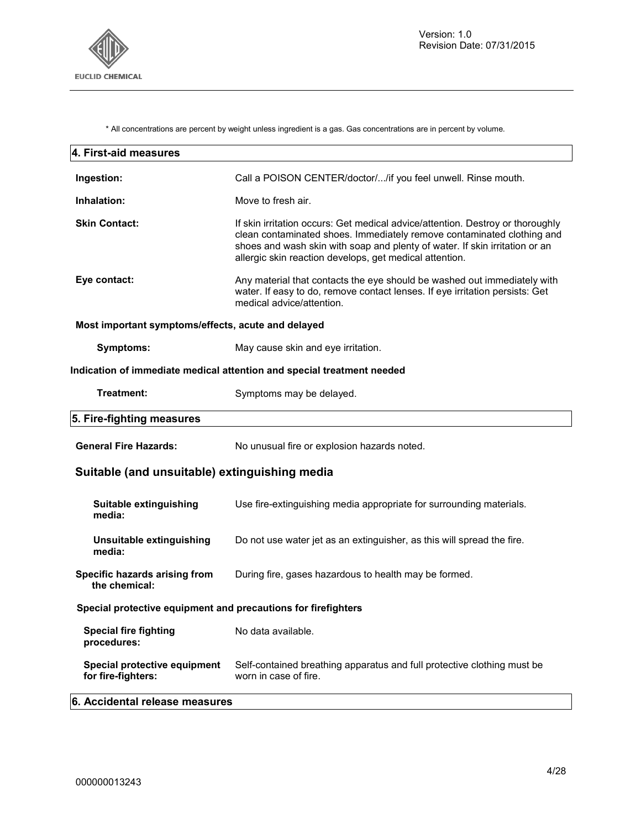

\* All concentrations are percent by weight unless ingredient is a gas. Gas concentrations are in percent by volume.

| 4. First-aid measures                                         |                                                                                                                                                                                                                                                                                                    |
|---------------------------------------------------------------|----------------------------------------------------------------------------------------------------------------------------------------------------------------------------------------------------------------------------------------------------------------------------------------------------|
| Ingestion:                                                    | Call a POISON CENTER/doctor//if you feel unwell. Rinse mouth.                                                                                                                                                                                                                                      |
| Inhalation:                                                   | Move to fresh air.                                                                                                                                                                                                                                                                                 |
| <b>Skin Contact:</b>                                          | If skin irritation occurs: Get medical advice/attention. Destroy or thoroughly<br>clean contaminated shoes. Immediately remove contaminated clothing and<br>shoes and wash skin with soap and plenty of water. If skin irritation or an<br>allergic skin reaction develops, get medical attention. |
| Eye contact:                                                  | Any material that contacts the eye should be washed out immediately with<br>water. If easy to do, remove contact lenses. If eye irritation persists: Get<br>medical advice/attention.                                                                                                              |
| Most important symptoms/effects, acute and delayed            |                                                                                                                                                                                                                                                                                                    |
| Symptoms:                                                     | May cause skin and eye irritation.                                                                                                                                                                                                                                                                 |
|                                                               | Indication of immediate medical attention and special treatment needed                                                                                                                                                                                                                             |
| Treatment:                                                    | Symptoms may be delayed.                                                                                                                                                                                                                                                                           |
| 5. Fire-fighting measures                                     |                                                                                                                                                                                                                                                                                                    |
| <b>General Fire Hazards:</b>                                  | No unusual fire or explosion hazards noted.                                                                                                                                                                                                                                                        |
| Suitable (and unsuitable) extinguishing media                 |                                                                                                                                                                                                                                                                                                    |
| Suitable extinguishing<br>media:                              | Use fire-extinguishing media appropriate for surrounding materials.                                                                                                                                                                                                                                |
| Unsuitable extinguishing<br>media:                            | Do not use water jet as an extinguisher, as this will spread the fire.                                                                                                                                                                                                                             |
| Specific hazards arising from<br>the chemical:                | During fire, gases hazardous to health may be formed.                                                                                                                                                                                                                                              |
| Special protective equipment and precautions for firefighters |                                                                                                                                                                                                                                                                                                    |
| <b>Special fire fighting</b><br>procedures:                   | No data available.                                                                                                                                                                                                                                                                                 |
| Special protective equipment<br>for fire-fighters:            | Self-contained breathing apparatus and full protective clothing must be<br>worn in case of fire.                                                                                                                                                                                                   |
| 6. Accidental release measures                                |                                                                                                                                                                                                                                                                                                    |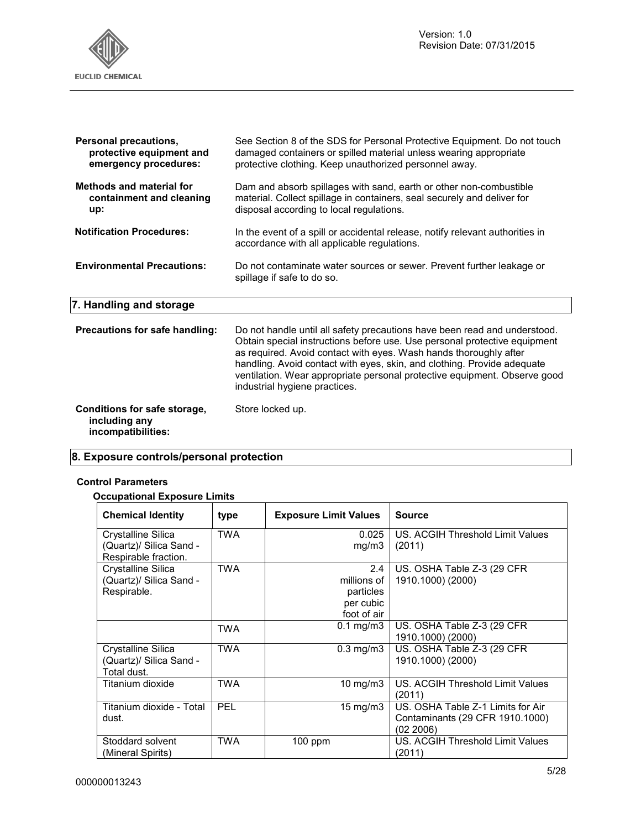

| Personal precautions,             | See Section 8 of the SDS for Personal Protective Equipment. Do not touch                                                     |
|-----------------------------------|------------------------------------------------------------------------------------------------------------------------------|
| protective equipment and          | damaged containers or spilled material unless wearing appropriate                                                            |
| emergency procedures:             | protective clothing. Keep unauthorized personnel away.                                                                       |
| <b>Methods and material for</b>   | Dam and absorb spillages with sand, earth or other non-combustible                                                           |
| containment and cleaning          | material. Collect spillage in containers, seal securely and deliver for                                                      |
| up:                               | disposal according to local regulations.                                                                                     |
| <b>Notification Procedures:</b>   | In the event of a spill or accidental release, notify relevant authorities in<br>accordance with all applicable regulations. |
| <b>Environmental Precautions:</b> | Do not contaminate water sources or sewer. Prevent further leakage or<br>spillage if safe to do so.                          |

**7. Handling and storage**

| Precautions for safe handling: | Do not handle until all safety precautions have been read and understood.<br>Obtain special instructions before use. Use personal protective equipment<br>as required. Avoid contact with eyes. Wash hands thoroughly after<br>handling. Avoid contact with eyes, skin, and clothing. Provide adequate<br>ventilation. Wear appropriate personal protective equipment. Observe good<br>industrial hygiene practices. |
|--------------------------------|----------------------------------------------------------------------------------------------------------------------------------------------------------------------------------------------------------------------------------------------------------------------------------------------------------------------------------------------------------------------------------------------------------------------|
| Conditions for safe storage,   | Store locked up.                                                                                                                                                                                                                                                                                                                                                                                                     |

## **8. Exposure controls/personal protection**

#### **Control Parameters**

**including any incompatibilities:** 

#### **Occupational Exposure Limits**

| <b>Chemical Identity</b> | type       | <b>Exposure Limit Values</b> | <b>Source</b>                     |
|--------------------------|------------|------------------------------|-----------------------------------|
| Crystalline Silica       | <b>TWA</b> | 0.025                        | US. ACGIH Threshold Limit Values  |
| (Quartz)/ Silica Sand -  |            | mg/m3                        | (2011)                            |
| Respirable fraction.     |            |                              |                                   |
| Crystalline Silica       | <b>TWA</b> | $2.4^{\circ}$                | US. OSHA Table Z-3 (29 CFR        |
| (Quartz)/ Silica Sand -  |            | millions of                  | 1910.1000) (2000)                 |
| Respirable.              |            | particles                    |                                   |
|                          |            | per cubic                    |                                   |
|                          |            | foot of air                  |                                   |
|                          | <b>TWA</b> | $0.1 \text{ mg/m}$ 3         | US. OSHA Table Z-3 (29 CFR)       |
|                          |            |                              | 1910.1000) (2000)                 |
| Crystalline Silica       | <b>TWA</b> | $0.3 \text{ mg/m}$           | US. OSHA Table Z-3 (29 CFR)       |
| (Quartz)/ Silica Sand -  |            |                              | 1910.1000) (2000)                 |
| Total dust.              |            |                              |                                   |
| Titanium dioxide         | <b>TWA</b> | 10 mg/m $3$                  | US. ACGIH Threshold Limit Values  |
|                          |            |                              | (2011)                            |
| Titanium dioxide - Total | PEL        | 15 mg/m $3$                  | US. OSHA Table Z-1 Limits for Air |
| dust.                    |            |                              | Contaminants (29 CFR 1910.1000)   |
|                          |            |                              | (02 2006)                         |
| Stoddard solvent         | <b>TWA</b> | $100$ ppm                    | US. ACGIH Threshold Limit Values  |
| (Mineral Spirits)        |            |                              | (2011)                            |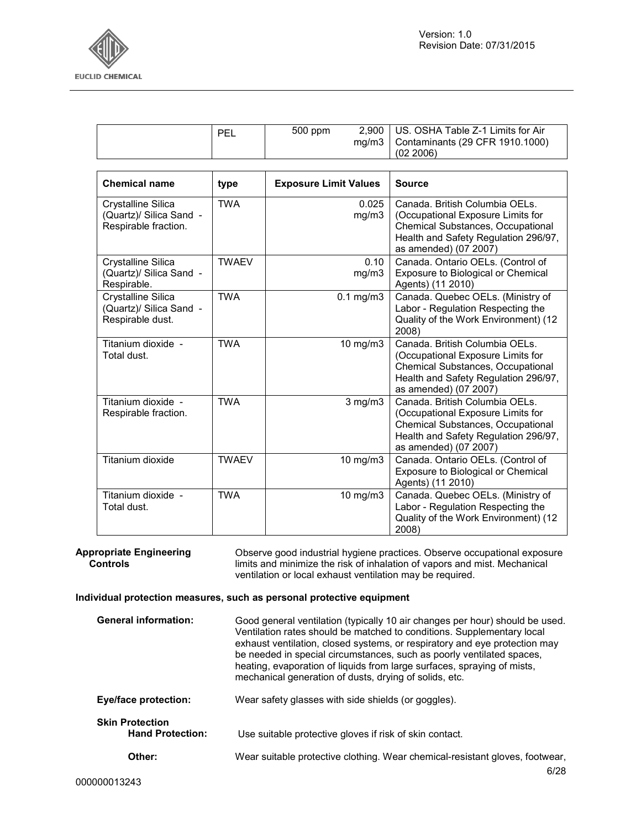

| Chamical nama | tyna | <b>Exposure Limit Values</b> | $\overline{\phantom{a}}$ Source                                                      |
|---------------|------|------------------------------|--------------------------------------------------------------------------------------|
|               |      |                              | (02, 2006)                                                                           |
|               | PEL  | 500 ppm                      | 2,900   US. OSHA Table Z-1 Limits for Air<br>mg/m3   Contaminants (29 CFR 1910.1000) |

| <b>Chemical name</b>                                                  | type         | <b>Exposure Limit Values</b> | <b>Source</b>                                                                                                                                                                    |
|-----------------------------------------------------------------------|--------------|------------------------------|----------------------------------------------------------------------------------------------------------------------------------------------------------------------------------|
| Crystalline Silica<br>(Quartz)/ Silica Sand -<br>Respirable fraction. | <b>TWA</b>   | 0.025<br>mg/m3               | Canada. British Columbia OELs.<br>(Occupational Exposure Limits for<br><b>Chemical Substances, Occupational</b><br>Health and Safety Regulation 296/97,<br>as amended) (07 2007) |
| Crystalline Silica<br>(Quartz)/ Silica Sand -<br>Respirable.          | <b>TWAEV</b> | 0.10<br>mg/m3                | Canada. Ontario OELs. (Control of<br>Exposure to Biological or Chemical<br>Agents) (11 2010)                                                                                     |
| Crystalline Silica<br>(Quartz)/ Silica Sand -<br>Respirable dust.     | <b>TWA</b>   | $0.1$ mg/m $3$               | Canada. Quebec OELs. (Ministry of<br>Labor - Regulation Respecting the<br>Quality of the Work Environment) (12<br>2008)                                                          |
| Titanium dioxide -<br>Total dust.                                     | <b>TWA</b>   | 10 mg/m3                     | Canada. British Columbia OELs.<br>(Occupational Exposure Limits for<br>Chemical Substances, Occupational<br>Health and Safety Regulation 296/97,<br>as amended) (07 2007)        |
| Titanium dioxide -<br>Respirable fraction.                            | <b>TWA</b>   | $3$ mg/m $3$                 | Canada. British Columbia OELs.<br>(Occupational Exposure Limits for<br><b>Chemical Substances, Occupational</b><br>Health and Safety Regulation 296/97,<br>as amended) (07 2007) |
| Titanium dioxide                                                      | <b>TWAEV</b> | 10 mg/m3                     | Canada. Ontario OELs. (Control of<br>Exposure to Biological or Chemical<br>Agents) (11 2010)                                                                                     |
| Titanium dioxide -<br>Total dust.                                     | <b>TWA</b>   | 10 mg/m3                     | Canada. Quebec OELs. (Ministry of<br>Labor - Regulation Respecting the<br>Quality of the Work Environment) (12<br>2008)                                                          |

**Appropriate Engineering Controls**  Observe good industrial hygiene practices. Observe occupational exposure limits and minimize the risk of inhalation of vapors and mist. Mechanical ventilation or local exhaust ventilation may be required.

#### **Individual protection measures, such as personal protective equipment**

| <b>General information:</b>                       | Good general ventilation (typically 10 air changes per hour) should be used.<br>Ventilation rates should be matched to conditions. Supplementary local<br>exhaust ventilation, closed systems, or respiratory and eye protection may<br>be needed in special circumstances, such as poorly ventilated spaces,<br>heating, evaporation of liquids from large surfaces, spraying of mists,<br>mechanical generation of dusts, drying of solids, etc. |
|---------------------------------------------------|----------------------------------------------------------------------------------------------------------------------------------------------------------------------------------------------------------------------------------------------------------------------------------------------------------------------------------------------------------------------------------------------------------------------------------------------------|
| <b>Eye/face protection:</b>                       | Wear safety glasses with side shields (or goggles).                                                                                                                                                                                                                                                                                                                                                                                                |
| <b>Skin Protection</b><br><b>Hand Protection:</b> | Use suitable protective gloves if risk of skin contact.                                                                                                                                                                                                                                                                                                                                                                                            |
| Other:                                            | Wear suitable protective clothing. Wear chemical-resistant gloves, footwear,                                                                                                                                                                                                                                                                                                                                                                       |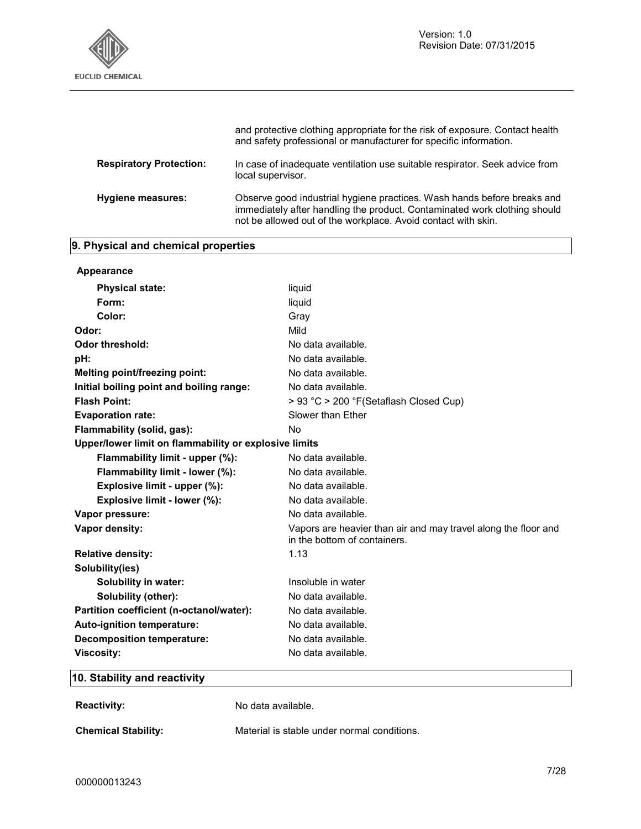

|                                | and protective clothing appropriate for the risk of exposure. Contact health<br>and safety professional or manufacturer for specific information.                                                                     |
|--------------------------------|-----------------------------------------------------------------------------------------------------------------------------------------------------------------------------------------------------------------------|
| <b>Respiratory Protection:</b> | In case of inadequate ventilation use suitable respirator. Seek advice from<br>local supervisor.                                                                                                                      |
| <b>Hygiene measures:</b>       | Observe good industrial hygiene practices. Wash hands before breaks and<br>immediately after handling the product. Contaminated work clothing should<br>not be allowed out of the workplace. Avoid contact with skin. |

## **9. Physical and chemical properties**

| Appearance                                            |                                                                                                |
|-------------------------------------------------------|------------------------------------------------------------------------------------------------|
| <b>Physical state:</b>                                | liquid                                                                                         |
| Form:                                                 | liquid                                                                                         |
| Color:                                                | Gray                                                                                           |
| Odor:                                                 | Mild                                                                                           |
| <b>Odor threshold:</b>                                | No data available.                                                                             |
| pH:                                                   | No data available.                                                                             |
| Melting point/freezing point:                         | No data available.                                                                             |
| Initial boiling point and boiling range:              | No data available.                                                                             |
| <b>Flash Point:</b>                                   | > 93 °C > 200 °F(Setaflash Closed Cup)                                                         |
| <b>Evaporation rate:</b>                              | Slower than Ether                                                                              |
| Flammability (solid, gas):                            | <b>No</b>                                                                                      |
| Upper/lower limit on flammability or explosive limits |                                                                                                |
| Flammability limit - upper (%):                       | No data available.                                                                             |
| Flammability limit - lower (%):                       | No data available.                                                                             |
| Explosive limit - upper (%):                          | No data available.                                                                             |
| Explosive limit - lower (%):                          | No data available.                                                                             |
| Vapor pressure:                                       | No data available.                                                                             |
| Vapor density:                                        | Vapors are heavier than air and may travel along the floor and<br>in the bottom of containers. |
| <b>Relative density:</b>                              | 1.13                                                                                           |
| Solubility(ies)                                       |                                                                                                |
| Solubility in water:                                  | Insoluble in water                                                                             |
| Solubility (other):                                   | No data available.                                                                             |
| Partition coefficient (n-octanol/water):              | No data available.                                                                             |
| Auto-ignition temperature:                            | No data available.                                                                             |
| <b>Decomposition temperature:</b>                     | No data available.                                                                             |
| <b>Viscosity:</b>                                     | No data available.                                                                             |
|                                                       |                                                                                                |

## **10. Stability and reactivity**

**Reactivity:** No data available.

**Chemical Stability:** Material is stable under normal conditions.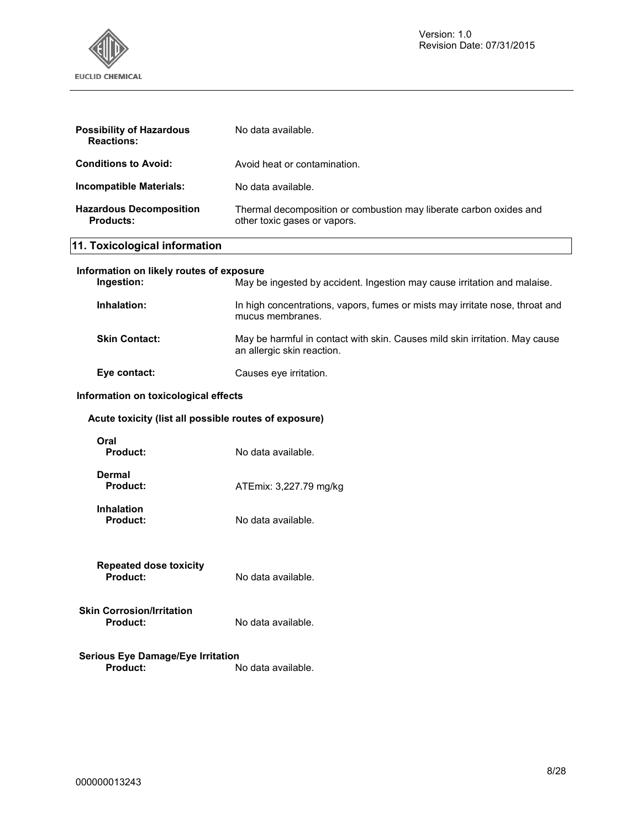

| <b>Possibility of Hazardous</b><br><b>Reactions:</b>        | No data available.                                                                                        |  |  |
|-------------------------------------------------------------|-----------------------------------------------------------------------------------------------------------|--|--|
| <b>Conditions to Avoid:</b>                                 | Avoid heat or contamination.                                                                              |  |  |
| <b>Incompatible Materials:</b>                              | No data available.                                                                                        |  |  |
| <b>Hazardous Decomposition</b><br><b>Products:</b>          | Thermal decomposition or combustion may liberate carbon oxides and<br>other toxic gases or vapors.        |  |  |
| 11. Toxicological information                               |                                                                                                           |  |  |
| Information on likely routes of exposure<br>Ingestion:      | May be ingested by accident. Ingestion may cause irritation and malaise.                                  |  |  |
| Inhalation:                                                 | In high concentrations, vapors, fumes or mists may irritate nose, throat and<br>mucus membranes.          |  |  |
| <b>Skin Contact:</b>                                        | May be harmful in contact with skin. Causes mild skin irritation. May cause<br>an allergic skin reaction. |  |  |
| Eye contact:                                                | Causes eye irritation.                                                                                    |  |  |
|                                                             | Information on toxicological effects                                                                      |  |  |
| Acute toxicity (list all possible routes of exposure)       |                                                                                                           |  |  |
| Oral<br><b>Product:</b>                                     | No data available.                                                                                        |  |  |
| <b>Dermal</b><br><b>Product:</b>                            | ATEmix: 3,227.79 mg/kg                                                                                    |  |  |
| <b>Inhalation</b><br><b>Product:</b>                        | No data available.                                                                                        |  |  |
| <b>Repeated dose toxicity</b><br>Product:                   | No data available.                                                                                        |  |  |
| <b>Skin Corrosion/Irritation</b><br>Product:                | No data available.                                                                                        |  |  |
| <b>Serious Eye Damage/Eye Irritation</b><br><b>Product:</b> | No data available.                                                                                        |  |  |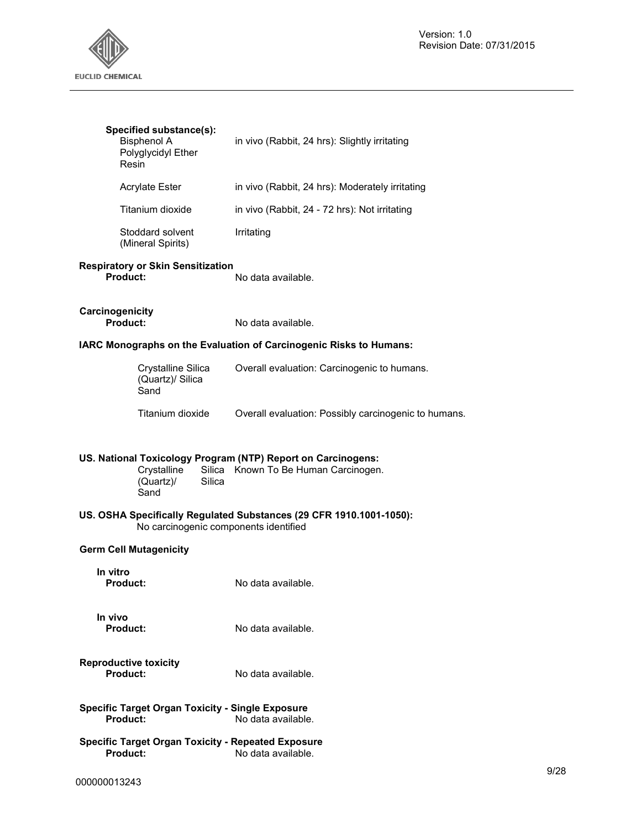

| Specified substance(s):<br><b>Bisphenol A</b><br>Polyglycidyl Ether<br>Resin                                         | in vivo (Rabbit, 24 hrs): Slightly irritating                       |
|----------------------------------------------------------------------------------------------------------------------|---------------------------------------------------------------------|
| <b>Acrylate Ester</b>                                                                                                | in vivo (Rabbit, 24 hrs): Moderately irritating                     |
| Titanium dioxide                                                                                                     | in vivo (Rabbit, 24 - 72 hrs): Not irritating                       |
| Stoddard solvent<br>(Mineral Spirits)                                                                                | Irritating                                                          |
| <b>Respiratory or Skin Sensitization</b><br>Product:                                                                 | No data available.                                                  |
| Carcinogenicity<br>Product:                                                                                          | No data available.                                                  |
|                                                                                                                      | IARC Monographs on the Evaluation of Carcinogenic Risks to Humans:  |
| Crystalline Silica<br>(Quartz)/ Silica<br>Sand                                                                       | Overall evaluation: Carcinogenic to humans.                         |
| Titanium dioxide                                                                                                     | Overall evaluation: Possibly carcinogenic to humans.                |
| US. National Toxicology Program (NTP) Report on Carcinogens:<br>Crystalline<br>Silica<br>(Quartz)/<br>Silica<br>Sand | Known To Be Human Carcinogen.                                       |
| No carcinogenic components identified                                                                                | US. OSHA Specifically Regulated Substances (29 CFR 1910.1001-1050): |
| <b>Germ Cell Mutagenicity</b>                                                                                        |                                                                     |
| In vitro<br><b>Product:</b>                                                                                          | No data available.                                                  |
| In vivo<br>Product:                                                                                                  | No data available.                                                  |
| <b>Reproductive toxicity</b><br>Product:                                                                             | No data available.                                                  |
| <b>Specific Target Organ Toxicity - Single Exposure</b><br>Product:                                                  | No data available.                                                  |
| <b>Specific Target Organ Toxicity - Repeated Exposure</b><br>Product:                                                | No data available.                                                  |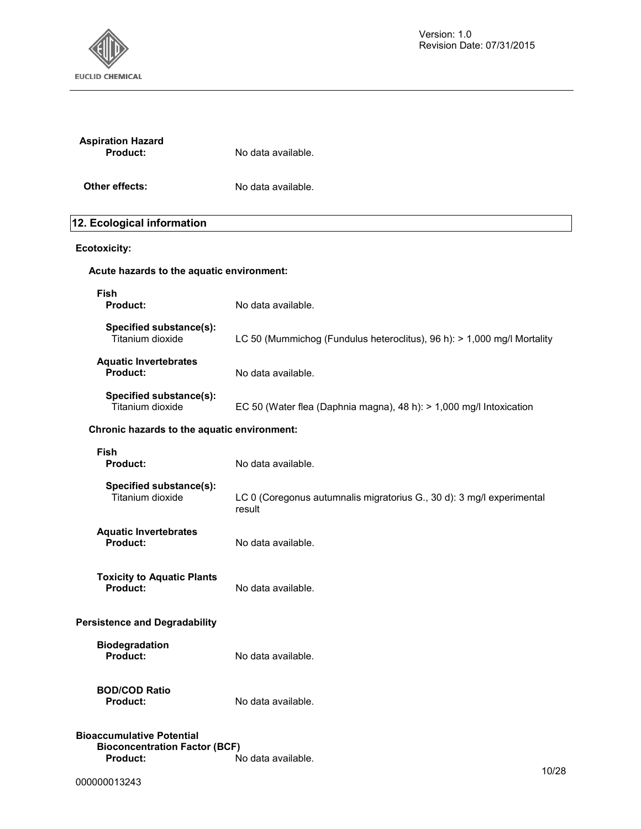

| <b>Aspiration Hazard</b><br>Product:                                                        | No data available.                                                              |  |
|---------------------------------------------------------------------------------------------|---------------------------------------------------------------------------------|--|
| Other effects:                                                                              | No data available.                                                              |  |
| 12. Ecological information                                                                  |                                                                                 |  |
| <b>Ecotoxicity:</b>                                                                         |                                                                                 |  |
| Acute hazards to the aquatic environment:                                                   |                                                                                 |  |
| <b>Fish</b><br><b>Product:</b>                                                              | No data available.                                                              |  |
| Specified substance(s):<br>Titanium dioxide                                                 | LC 50 (Mummichog (Fundulus heteroclitus), 96 h): > 1,000 mg/l Mortality         |  |
| <b>Aquatic Invertebrates</b><br>Product:                                                    | No data available.                                                              |  |
| Specified substance(s):<br>Titanium dioxide                                                 | EC 50 (Water flea (Daphnia magna), 48 h): > 1,000 mg/l Intoxication             |  |
| Chronic hazards to the aquatic environment:                                                 |                                                                                 |  |
| <b>Fish</b><br><b>Product:</b>                                                              | No data available.                                                              |  |
| Specified substance(s):<br>Titanium dioxide                                                 | LC 0 (Coregonus autumnalis migratorius G., 30 d): 3 mg/l experimental<br>result |  |
| <b>Aquatic Invertebrates</b><br><b>Product:</b>                                             | No data available.                                                              |  |
| <b>Toxicity to Aquatic Plants</b><br><b>Product:</b>                                        | No data available.                                                              |  |
| <b>Persistence and Degradability</b>                                                        |                                                                                 |  |
| <b>Biodegradation</b><br><b>Product:</b>                                                    | No data available.                                                              |  |
| <b>BOD/COD Ratio</b><br>Product:                                                            | No data available.                                                              |  |
| <b>Bioaccumulative Potential</b><br><b>Bioconcentration Factor (BCF)</b><br><b>Product:</b> | No data available.<br>10/20                                                     |  |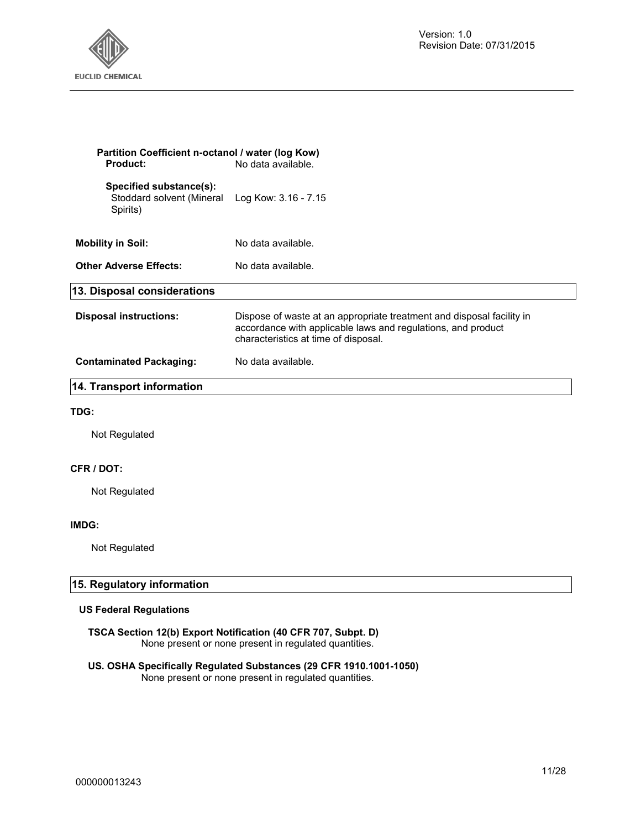

| Partition Coefficient n-octanol / water (log Kow)<br><b>Product:</b> | No data available.                                                                                                                                                            |
|----------------------------------------------------------------------|-------------------------------------------------------------------------------------------------------------------------------------------------------------------------------|
| Specified substance(s):<br>Stoddard solvent (Mineral<br>Spirits)     | Log Kow: 3.16 - 7.15                                                                                                                                                          |
| <b>Mobility in Soil:</b>                                             | No data available.                                                                                                                                                            |
| <b>Other Adverse Effects:</b>                                        | No data available.                                                                                                                                                            |
| 13. Disposal considerations                                          |                                                                                                                                                                               |
| <b>Disposal instructions:</b>                                        | Dispose of waste at an appropriate treatment and disposal facility in<br>accordance with applicable laws and regulations, and product<br>characteristics at time of disposal. |
| <b>Contaminated Packaging:</b>                                       | No data available.                                                                                                                                                            |
| 14. Transport information                                            |                                                                                                                                                                               |
| TDG:                                                                 |                                                                                                                                                                               |
| Not Regulated                                                        |                                                                                                                                                                               |
| CFR / DOT:                                                           |                                                                                                                                                                               |
| Not Regulated                                                        |                                                                                                                                                                               |
|                                                                      |                                                                                                                                                                               |

#### **IMDG:**

Not Regulated

#### **15. Regulatory information**

#### **US Federal Regulations**

**TSCA Section 12(b) Export Notification (40 CFR 707, Subpt. D)**  None present or none present in regulated quantities.

#### **US. OSHA Specifically Regulated Substances (29 CFR 1910.1001-1050)**  None present or none present in regulated quantities.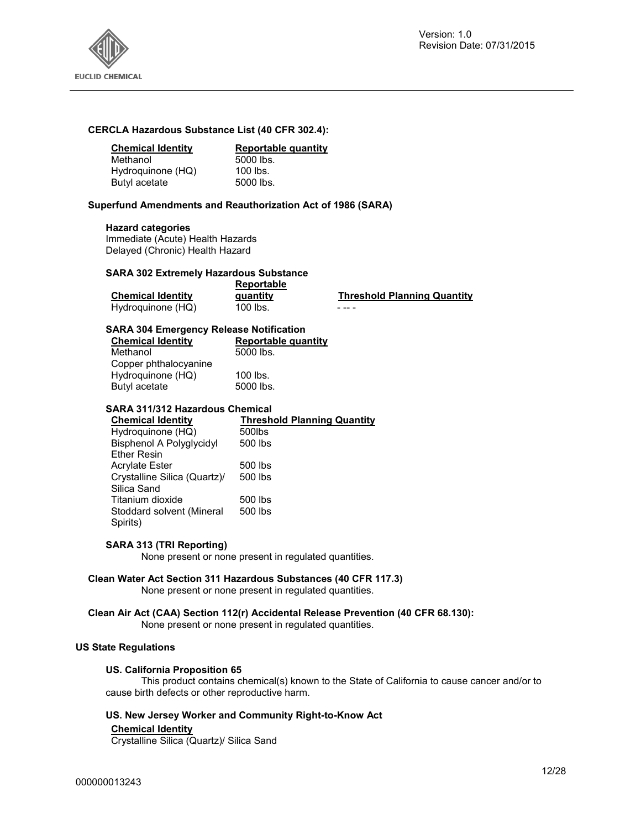

#### **CERCLA Hazardous Substance List (40 CFR 302.4):**

#### **Chemical Identity Reportable quantity**

| 5000 lbs.                     |
|-------------------------------|
| Hydroquinone (HQ)<br>100 lbs. |
| 5000 lbs.                     |
|                               |

#### **Superfund Amendments and Reauthorization Act of 1986 (SARA)**

#### **Hazard categories**

Immediate (Acute) Health Hazards Delayed (Chronic) Health Hazard

#### **SARA 302 Extremely Hazardous Substance**

|                          | Reportable |                                    |
|--------------------------|------------|------------------------------------|
| <b>Chemical Identity</b> | quantity   | <b>Threshold Planning Quantity</b> |
| Hydroquinone (HQ)        | 100 lbs.   | - -- -                             |

#### **SARA 304 Emergency Release Notification**

| <b>Chemical Identity</b> | Reportable quantity |
|--------------------------|---------------------|
| Methanol                 | 5000 lbs.           |
| Copper phthalocyanine    |                     |
| Hydroquinone (HQ)        | $100$ lbs.          |
| Butyl acetate            | 5000 lbs.           |
|                          |                     |

#### **SARA 311/312 Hazardous Chemical**

| <b>Chemical Identity</b>        | <b>Threshold Planning Quantity</b> |
|---------------------------------|------------------------------------|
| Hydroguinone (HQ)               | 500lbs                             |
| <b>Bisphenol A Polyglycidyl</b> | 500 lbs                            |
| <b>Ether Resin</b>              |                                    |
| <b>Acrylate Ester</b>           | 500 lbs                            |
| Crystalline Silica (Quartz)/    | 500 lbs                            |
| Silica Sand                     |                                    |
| Titanium dioxide                | 500 lbs                            |
| Stoddard solvent (Mineral       | 500 lbs                            |
| Spirits)                        |                                    |
|                                 |                                    |

#### **SARA 313 (TRI Reporting)**

None present or none present in regulated quantities.

#### **Clean Water Act Section 311 Hazardous Substances (40 CFR 117.3)**

None present or none present in regulated quantities.

#### **Clean Air Act (CAA) Section 112(r) Accidental Release Prevention (40 CFR 68.130):**

None present or none present in regulated quantities.

#### **US State Regulations**

#### **US. California Proposition 65**

This product contains chemical(s) known to the State of California to cause cancer and/or to cause birth defects or other reproductive harm.

#### **US. New Jersey Worker and Community Right-to-Know Act**

#### **Chemical Identity**

Crystalline Silica (Quartz)/ Silica Sand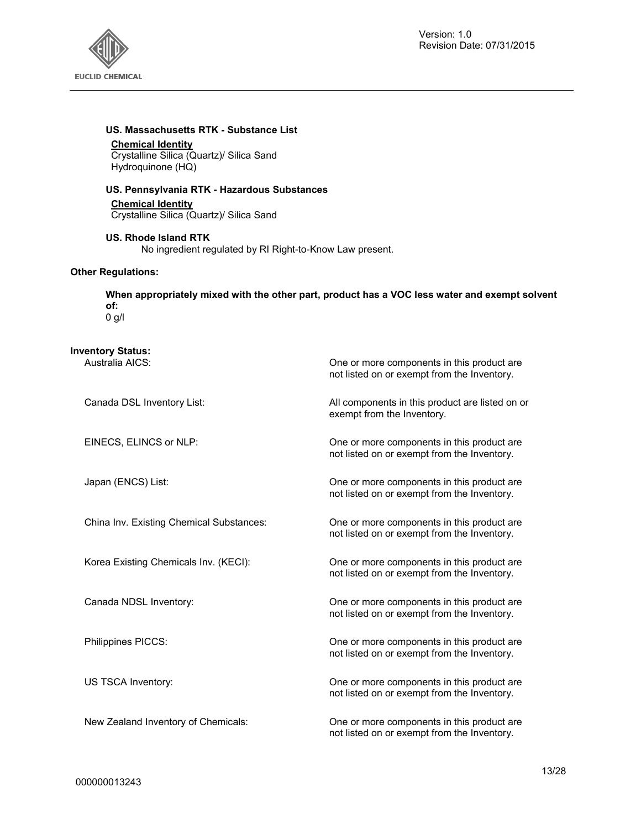

#### **US. Massachusetts RTK - Substance List**

**Chemical Identity**

Crystalline Silica (Quartz)/ Silica Sand Hydroquinone (HQ)

#### **US. Pennsylvania RTK - Hazardous Substances**

**Chemical Identity** Crystalline Silica (Quartz)/ Silica Sand

**US. Rhode Island RTK**  No ingredient regulated by RI Right-to-Know Law present.

#### **Other Regulations:**

**When appropriately mixed with the other part, product has a VOC less water and exempt solvent of:** 

0 g/l

#### **Inventory Status:**

| Australia AICS:                          | One or more components in this product are<br>not listed on or exempt from the Inventory.  |
|------------------------------------------|--------------------------------------------------------------------------------------------|
| Canada DSL Inventory List:               | All components in this product are listed on or<br>exempt from the Inventory.              |
| EINECS, ELINCS or NLP:                   | One or more components in this product are<br>not listed on or exempt from the Inventory.  |
| Japan (ENCS) List:                       | One or more components in this product are<br>not listed on or exempt from the Inventory.  |
| China Inv. Existing Chemical Substances: | One or more components in this product are.<br>not listed on or exempt from the Inventory. |
| Korea Existing Chemicals Inv. (KECI):    | One or more components in this product are<br>not listed on or exempt from the Inventory.  |
| Canada NDSL Inventory:                   | One or more components in this product are<br>not listed on or exempt from the Inventory.  |
| Philippines PICCS:                       | One or more components in this product are<br>not listed on or exempt from the Inventory.  |
| US TSCA Inventory:                       | One or more components in this product are<br>not listed on or exempt from the Inventory.  |
| New Zealand Inventory of Chemicals:      | One or more components in this product are<br>not listed on or exempt from the Inventory.  |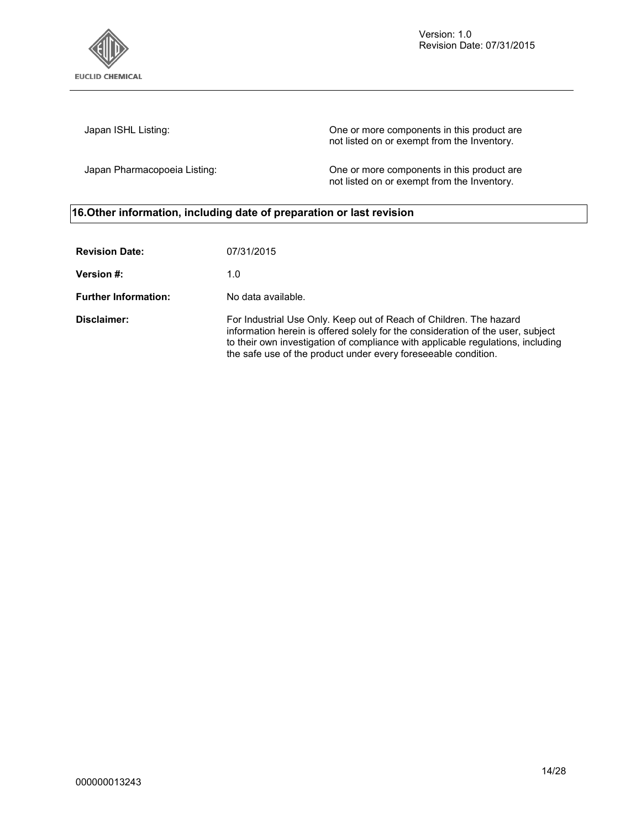

Version: 1.0 Revision Date: 07/31/2015

Japan ISHL Listing: One or more components in this product are not listed on or exempt from the Inventory.

Japan Pharmacopoeia Listing: One or more components in this product are not listed on or exempt from the Inventory.

## **16.Other information, including date of preparation or last revision**

| <b>Revision Date:</b>       | 07/31/2015                                                                                                                                                                                                                                                                                                 |
|-----------------------------|------------------------------------------------------------------------------------------------------------------------------------------------------------------------------------------------------------------------------------------------------------------------------------------------------------|
| <b>Version #:</b>           | 1.0                                                                                                                                                                                                                                                                                                        |
| <b>Further Information:</b> | No data available.                                                                                                                                                                                                                                                                                         |
| Disclaimer:                 | For Industrial Use Only. Keep out of Reach of Children. The hazard<br>information herein is offered solely for the consideration of the user, subject<br>to their own investigation of compliance with applicable regulations, including<br>the safe use of the product under every foreseeable condition. |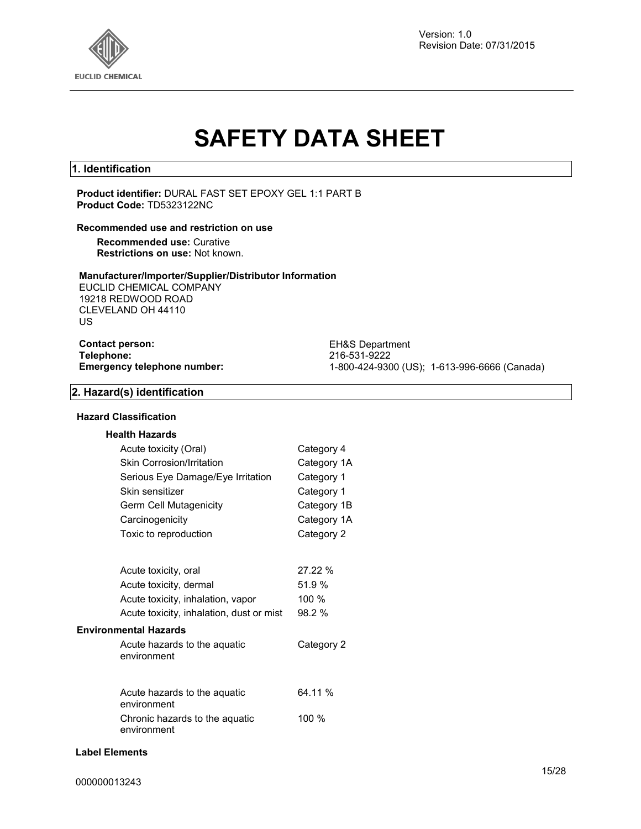

Version: 1.0 Revision Date: 07/31/2015

# **SAFETY DATA SHEET**

#### **1. Identification**

**Product identifier:** DURAL FAST SET EPOXY GEL 1:1 PART B **Product Code:** TD5323122NC

#### **Recommended use and restriction on use**

**Recommended use:** Curative **Restrictions on use:** Not known.

#### **Manufacturer/Importer/Supplier/Distributor Information**

EUCLID CHEMICAL COMPANY 19218 REDWOOD ROAD CLEVELAND OH 44110 US

## **Contact person:** EH&S Department<br> **Telephone:** 216-531-9222 **Telephone:** 216-531-9222

**Emergency telephone number:** 1-800-424-9300 (US); 1-613-996-6666 (Canada)

#### **2. Hazard(s) identification**

#### **Hazard Classification**

#### **Health Hazards**

| Acute toxicity (Oral)                         | Category 4  |
|-----------------------------------------------|-------------|
| <b>Skin Corrosion/Irritation</b>              | Category 1A |
| Serious Eye Damage/Eye Irritation             | Category 1  |
| Skin sensitizer                               | Category 1  |
| Germ Cell Mutagenicity                        | Category 1B |
| Carcinogenicity                               | Category 1A |
| Toxic to reproduction                         | Category 2  |
| Acute toxicity, oral                          | 27.22 %     |
| Acute toxicity, dermal                        | 51.9 %      |
| Acute toxicity, inhalation, vapor             | 100 %       |
| Acute toxicity, inhalation, dust or mist      | 98.2 %      |
| <b>Environmental Hazards</b>                  |             |
| Acute hazards to the aquatic<br>environment   | Category 2  |
|                                               |             |
| Acute hazards to the aquatic<br>environment   | 64.11 %     |
| Chronic hazards to the aguatic<br>environment | 100 %       |

#### **Label Elements**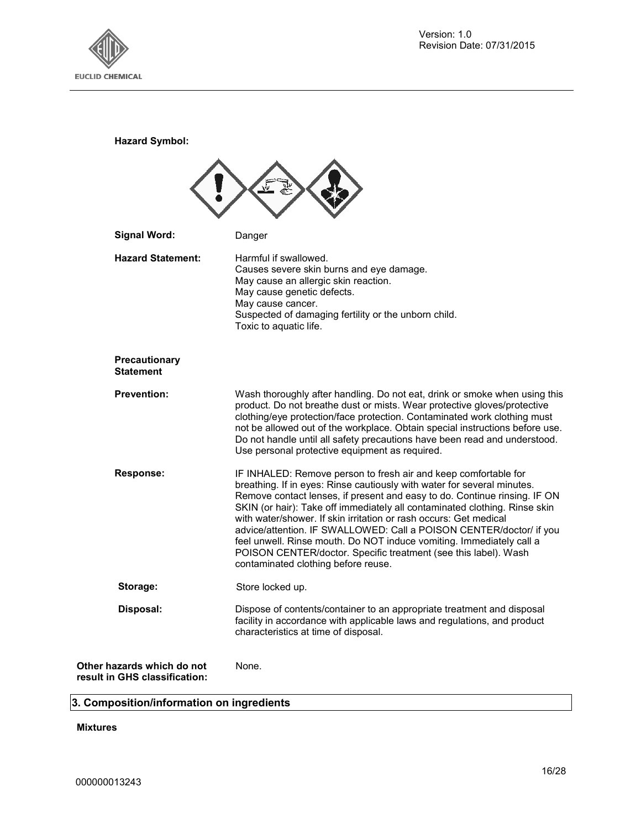

**Hazard Symbol:**

| <b>Signal Word:</b>                                         | Danger                                                                                                                                                                                                                                                                                                                                                                                                                                                                                                                                                                                                                              |
|-------------------------------------------------------------|-------------------------------------------------------------------------------------------------------------------------------------------------------------------------------------------------------------------------------------------------------------------------------------------------------------------------------------------------------------------------------------------------------------------------------------------------------------------------------------------------------------------------------------------------------------------------------------------------------------------------------------|
| <b>Hazard Statement:</b>                                    | Harmful if swallowed.<br>Causes severe skin burns and eye damage.<br>May cause an allergic skin reaction.<br>May cause genetic defects.<br>May cause cancer.<br>Suspected of damaging fertility or the unborn child.<br>Toxic to aquatic life.                                                                                                                                                                                                                                                                                                                                                                                      |
| Precautionary<br><b>Statement</b>                           |                                                                                                                                                                                                                                                                                                                                                                                                                                                                                                                                                                                                                                     |
| <b>Prevention:</b>                                          | Wash thoroughly after handling. Do not eat, drink or smoke when using this<br>product. Do not breathe dust or mists. Wear protective gloves/protective<br>clothing/eye protection/face protection. Contaminated work clothing must<br>not be allowed out of the workplace. Obtain special instructions before use.<br>Do not handle until all safety precautions have been read and understood.<br>Use personal protective equipment as required.                                                                                                                                                                                   |
| <b>Response:</b>                                            | IF INHALED: Remove person to fresh air and keep comfortable for<br>breathing. If in eyes: Rinse cautiously with water for several minutes.<br>Remove contact lenses, if present and easy to do. Continue rinsing. IF ON<br>SKIN (or hair): Take off immediately all contaminated clothing. Rinse skin<br>with water/shower. If skin irritation or rash occurs: Get medical<br>advice/attention. IF SWALLOWED: Call a POISON CENTER/doctor/ if you<br>feel unwell. Rinse mouth. Do NOT induce vomiting. Immediately call a<br>POISON CENTER/doctor. Specific treatment (see this label). Wash<br>contaminated clothing before reuse. |
| Storage:                                                    | Store locked up.                                                                                                                                                                                                                                                                                                                                                                                                                                                                                                                                                                                                                    |
| Disposal:                                                   | Dispose of contents/container to an appropriate treatment and disposal<br>facility in accordance with applicable laws and regulations, and product<br>characteristics at time of disposal.                                                                                                                                                                                                                                                                                                                                                                                                                                          |
| Other hazards which do not<br>result in GHS classification: | None.                                                                                                                                                                                                                                                                                                                                                                                                                                                                                                                                                                                                                               |

## **3. Composition/information on ingredients**

**Mixtures**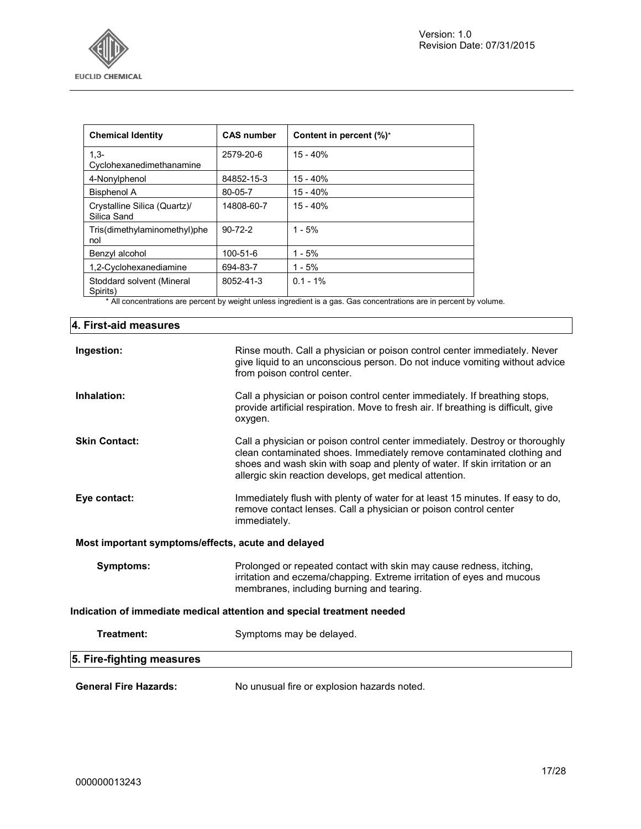

| <b>Chemical Identity</b>                    | <b>CAS number</b> | Content in percent (%)* |
|---------------------------------------------|-------------------|-------------------------|
| $1.3 -$<br>Cyclohexanedimethanamine         | 2579-20-6         | $15 - 40%$              |
| 4-Nonylphenol                               | 84852-15-3        | $15 - 40%$              |
| <b>Bisphenol A</b>                          | 80-05-7           | $15 - 40%$              |
| Crystalline Silica (Quartz)/<br>Silica Sand | 14808-60-7        | $15 - 40%$              |
| Tris(dimethylaminomethyl)phe<br>nol         | $90 - 72 - 2$     | $1 - 5%$                |
| Benzyl alcohol                              | 100-51-6          | $1 - 5%$                |
| 1,2-Cyclohexanediamine                      | 694-83-7          | $1 - 5%$                |
| Stoddard solvent (Mineral<br>Spirits)       | 8052-41-3         | $0.1 - 1\%$             |

\* All concentrations are percent by weight unless ingredient is a gas. Gas concentrations are in percent by volume.

| 4. First-aid measures                              |                                                                                                                                                                                                                                                                                                  |
|----------------------------------------------------|--------------------------------------------------------------------------------------------------------------------------------------------------------------------------------------------------------------------------------------------------------------------------------------------------|
| Ingestion:                                         | Rinse mouth. Call a physician or poison control center immediately. Never<br>give liquid to an unconscious person. Do not induce vomiting without advice<br>from poison control center.                                                                                                          |
| Inhalation:                                        | Call a physician or poison control center immediately. If breathing stops,<br>provide artificial respiration. Move to fresh air. If breathing is difficult, give<br>oxygen.                                                                                                                      |
| <b>Skin Contact:</b>                               | Call a physician or poison control center immediately. Destroy or thoroughly<br>clean contaminated shoes. Immediately remove contaminated clothing and<br>shoes and wash skin with soap and plenty of water. If skin irritation or an<br>allergic skin reaction develops, get medical attention. |
| Eye contact:                                       | Immediately flush with plenty of water for at least 15 minutes. If easy to do,<br>remove contact lenses. Call a physician or poison control center<br>immediately.                                                                                                                               |
| Most important symptoms/effects, acute and delayed |                                                                                                                                                                                                                                                                                                  |
| Symptoms:                                          | Prolonged or repeated contact with skin may cause redness, itching,<br>irritation and eczema/chapping. Extreme irritation of eyes and mucous<br>membranes, including burning and tearing.                                                                                                        |
|                                                    | Indication of immediate medical attention and special treatment needed                                                                                                                                                                                                                           |
| Treatment:                                         | Symptoms may be delayed.                                                                                                                                                                                                                                                                         |
| 5. Fire-fighting measures                          |                                                                                                                                                                                                                                                                                                  |
| <b>General Fire Hazards:</b>                       | No unusual fire or explosion hazards noted.                                                                                                                                                                                                                                                      |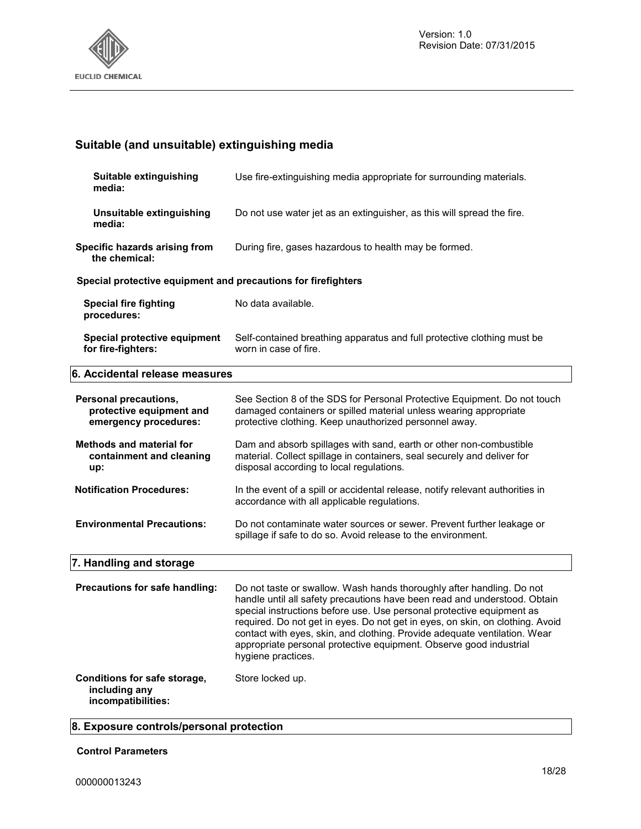

## **Suitable (and unsuitable) extinguishing media**

| Suitable extinguishing<br>media:                                           | Use fire-extinguishing media appropriate for surrounding materials.                                                                                                                                                                                                                                                                                                                                                                                                                   |
|----------------------------------------------------------------------------|---------------------------------------------------------------------------------------------------------------------------------------------------------------------------------------------------------------------------------------------------------------------------------------------------------------------------------------------------------------------------------------------------------------------------------------------------------------------------------------|
| Unsuitable extinguishing<br>media:                                         | Do not use water jet as an extinguisher, as this will spread the fire.                                                                                                                                                                                                                                                                                                                                                                                                                |
| Specific hazards arising from<br>the chemical:                             | During fire, gases hazardous to health may be formed.                                                                                                                                                                                                                                                                                                                                                                                                                                 |
| Special protective equipment and precautions for firefighters              |                                                                                                                                                                                                                                                                                                                                                                                                                                                                                       |
| <b>Special fire fighting</b><br>procedures:                                | No data available.                                                                                                                                                                                                                                                                                                                                                                                                                                                                    |
| Special protective equipment<br>for fire-fighters:                         | Self-contained breathing apparatus and full protective clothing must be<br>worn in case of fire.                                                                                                                                                                                                                                                                                                                                                                                      |
| 6. Accidental release measures                                             |                                                                                                                                                                                                                                                                                                                                                                                                                                                                                       |
| Personal precautions,<br>protective equipment and<br>emergency procedures: | See Section 8 of the SDS for Personal Protective Equipment. Do not touch<br>damaged containers or spilled material unless wearing appropriate<br>protective clothing. Keep unauthorized personnel away.                                                                                                                                                                                                                                                                               |
| <b>Methods and material for</b><br>containment and cleaning<br>up:         | Dam and absorb spillages with sand, earth or other non-combustible<br>material. Collect spillage in containers, seal securely and deliver for<br>disposal according to local regulations.                                                                                                                                                                                                                                                                                             |
| <b>Notification Procedures:</b>                                            | In the event of a spill or accidental release, notify relevant authorities in<br>accordance with all applicable regulations.                                                                                                                                                                                                                                                                                                                                                          |
| <b>Environmental Precautions:</b>                                          | Do not contaminate water sources or sewer. Prevent further leakage or<br>spillage if safe to do so. Avoid release to the environment.                                                                                                                                                                                                                                                                                                                                                 |
| 7. Handling and storage                                                    |                                                                                                                                                                                                                                                                                                                                                                                                                                                                                       |
| Precautions for safe handling:                                             | Do not taste or swallow. Wash hands thoroughly after handling. Do not<br>handle until all safety precautions have been read and understood. Obtain<br>special instructions before use. Use personal protective equipment as<br>required. Do not get in eyes. Do not get in eyes, on skin, on clothing. Avoid<br>contact with eyes, skin, and clothing. Provide adequate ventilation. Wear<br>appropriate personal protective equipment. Observe good industrial<br>hygiene practices. |
| Conditions for safe storage,<br>including any<br>incompatibilities:        | Store locked up.                                                                                                                                                                                                                                                                                                                                                                                                                                                                      |

## **8. Exposure controls/personal protection**

#### **Control Parameters**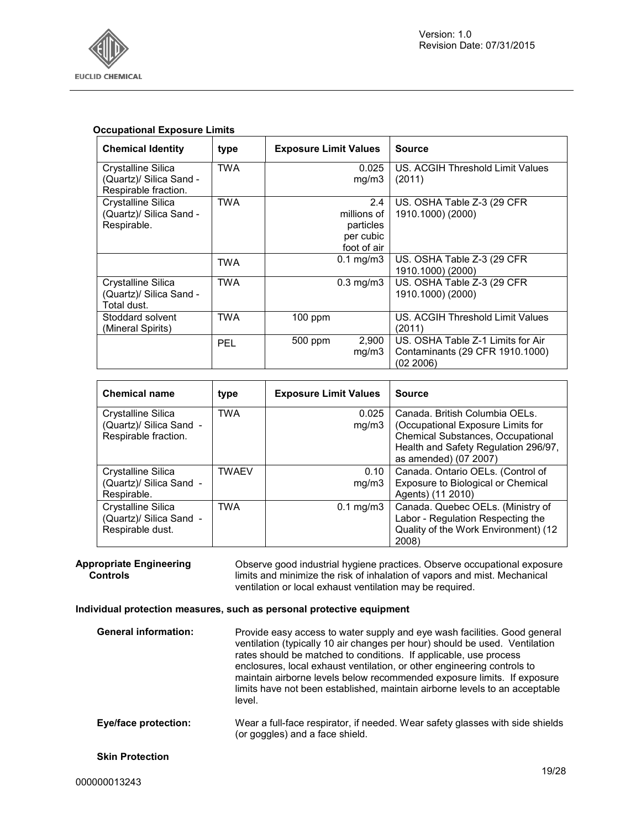

#### **Occupational Exposure Limits**

| <b>Chemical Identity</b>                                                     | type       | <b>Exposure Limit Values</b> |                                                             | <b>Source</b>                                                                     |
|------------------------------------------------------------------------------|------------|------------------------------|-------------------------------------------------------------|-----------------------------------------------------------------------------------|
| <b>Crystalline Silica</b><br>(Quartz)/ Silica Sand -<br>Respirable fraction. | TWA        |                              | 0.025<br>mq/m3                                              | US. ACGIH Threshold Limit Values<br>(2011)                                        |
| Crystalline Silica<br>(Quartz)/ Silica Sand -<br>Respirable.                 | <b>TWA</b> |                              | 2.4<br>millions of<br>particles<br>per cubic<br>foot of air | US. OSHA Table Z-3 (29 CFR)<br>1910.1000) (2000)                                  |
|                                                                              | <b>TWA</b> |                              | $0.1$ mg/m $3$                                              | US. OSHA Table Z-3 (29 CFR)<br>1910.1000) (2000)                                  |
| Crystalline Silica<br>(Quartz)/ Silica Sand -<br>Total dust.                 | <b>TWA</b> |                              | $0.3$ mg/m $3$                                              | US. OSHA Table Z-3 (29 CFR<br>1910.1000) (2000)                                   |
| Stoddard solvent<br>(Mineral Spirits)                                        | TWA        | $100$ ppm                    |                                                             | US. ACGIH Threshold Limit Values<br>(2011)                                        |
|                                                                              | <b>PEL</b> | 500 ppm                      | 2,900<br>mq/m3                                              | US. OSHA Table Z-1 Limits for Air<br>Contaminants (29 CFR 1910.1000)<br>(02 2006) |

| <b>Chemical name</b>                                                  | type         | <b>Exposure Limit Values</b> | <b>Source</b>                                                                                                                                                             |
|-----------------------------------------------------------------------|--------------|------------------------------|---------------------------------------------------------------------------------------------------------------------------------------------------------------------------|
| Crystalline Silica<br>(Quartz)/ Silica Sand -<br>Respirable fraction. | <b>TWA</b>   | 0.025<br>mq/m3               | Canada. British Columbia OELs.<br>(Occupational Exposure Limits for<br>Chemical Substances, Occupational<br>Health and Safety Regulation 296/97,<br>as amended) (07 2007) |
| Crystalline Silica<br>(Quartz)/ Silica Sand -<br>Respirable.          | <b>TWAEV</b> | 0.10<br>mq/m3                | Canada. Ontario OELs. (Control of<br>Exposure to Biological or Chemical<br>Agents) (11 2010)                                                                              |
| Crystalline Silica<br>(Quartz)/ Silica Sand -<br>Respirable dust.     | <b>TWA</b>   | $0.1 \text{ mg/m}$ 3         | Canada. Quebec OELs. (Ministry of<br>Labor - Regulation Respecting the<br>Quality of the Work Environment) (12<br>2008)                                                   |

**Appropriate Engineering Controls**  Observe good industrial hygiene practices. Observe occupational exposure limits and minimize the risk of inhalation of vapors and mist. Mechanical ventilation or local exhaust ventilation may be required.

#### **Individual protection measures, such as personal protective equipment**

| <b>General information:</b> | Provide easy access to water supply and eye wash facilities. Good general<br>ventilation (typically 10 air changes per hour) should be used. Ventilation<br>rates should be matched to conditions. If applicable, use process<br>enclosures, local exhaust ventilation, or other engineering controls to<br>maintain airborne levels below recommended exposure limits. If exposure<br>limits have not been established, maintain airborne levels to an acceptable<br>level. |
|-----------------------------|------------------------------------------------------------------------------------------------------------------------------------------------------------------------------------------------------------------------------------------------------------------------------------------------------------------------------------------------------------------------------------------------------------------------------------------------------------------------------|
| Eye/face protection:        | Wear a full-face respirator, if needed. Wear safety glasses with side shields<br>(or goggles) and a face shield.                                                                                                                                                                                                                                                                                                                                                             |
| <b>Skin Protection</b>      |                                                                                                                                                                                                                                                                                                                                                                                                                                                                              |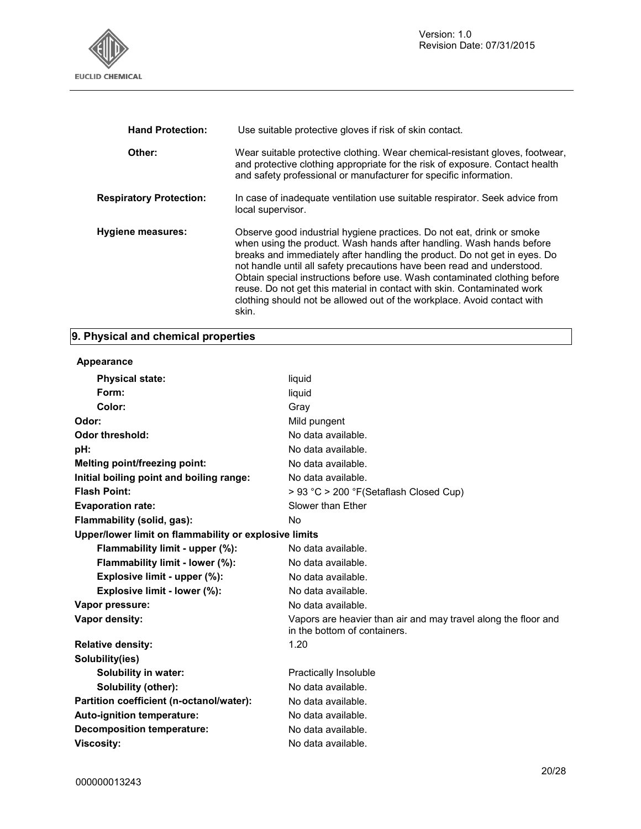

| <b>Hand Protection:</b>        | Use suitable protective gloves if risk of skin contact.                                                                                                                                                                                                                                                                                                                                                                                                                                                                                          |
|--------------------------------|--------------------------------------------------------------------------------------------------------------------------------------------------------------------------------------------------------------------------------------------------------------------------------------------------------------------------------------------------------------------------------------------------------------------------------------------------------------------------------------------------------------------------------------------------|
| Other:                         | Wear suitable protective clothing. Wear chemical-resistant gloves, footwear,<br>and protective clothing appropriate for the risk of exposure. Contact health<br>and safety professional or manufacturer for specific information.                                                                                                                                                                                                                                                                                                                |
| <b>Respiratory Protection:</b> | In case of inadequate ventilation use suitable respirator. Seek advice from<br>local supervisor.                                                                                                                                                                                                                                                                                                                                                                                                                                                 |
| Hygiene measures:              | Observe good industrial hygiene practices. Do not eat, drink or smoke<br>when using the product. Wash hands after handling. Wash hands before<br>breaks and immediately after handling the product. Do not get in eyes. Do<br>not handle until all safety precautions have been read and understood.<br>Obtain special instructions before use. Wash contaminated clothing before<br>reuse. Do not get this material in contact with skin. Contaminated work<br>clothing should not be allowed out of the workplace. Avoid contact with<br>skin. |

## **9. Physical and chemical properties**

#### **Appearance**

| <b>Physical state:</b>                                | liquid                                                                                         |
|-------------------------------------------------------|------------------------------------------------------------------------------------------------|
| Form:                                                 | liquid                                                                                         |
| Color:                                                | Gray                                                                                           |
| Odor:                                                 | Mild pungent                                                                                   |
| Odor threshold:                                       | No data available.                                                                             |
| pH:                                                   | No data available.                                                                             |
| Melting point/freezing point:                         | No data available.                                                                             |
| Initial boiling point and boiling range:              | No data available.                                                                             |
| <b>Flash Point:</b>                                   | > 93 °C > 200 °F (Setaflash Closed Cup)                                                        |
| <b>Evaporation rate:</b>                              | Slower than Ether                                                                              |
| Flammability (solid, gas):                            | No                                                                                             |
| Upper/lower limit on flammability or explosive limits |                                                                                                |
| Flammability limit - upper (%):                       | No data available.                                                                             |
| Flammability limit - lower (%):                       | No data available.                                                                             |
| Explosive limit - upper (%):                          | No data available.                                                                             |
| Explosive limit - lower (%):                          | No data available.                                                                             |
| Vapor pressure:                                       | No data available.                                                                             |
| Vapor density:                                        | Vapors are heavier than air and may travel along the floor and<br>in the bottom of containers. |
| <b>Relative density:</b>                              | 1.20                                                                                           |
| Solubility(ies)                                       |                                                                                                |
| <b>Solubility in water:</b>                           | <b>Practically Insoluble</b>                                                                   |
| Solubility (other):                                   | No data available.                                                                             |
| Partition coefficient (n-octanol/water):              | No data available.                                                                             |
| Auto-ignition temperature:                            | No data available.                                                                             |
| Decomposition temperature:                            | No data available.                                                                             |
| <b>Viscosity:</b>                                     | No data available.                                                                             |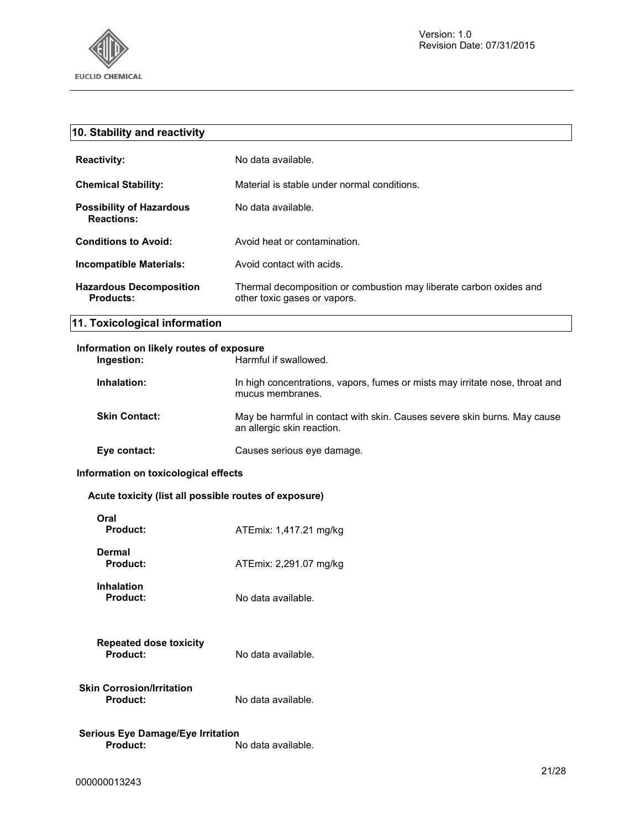

| 10. Stability and reactivity                                |                                                                                                        |
|-------------------------------------------------------------|--------------------------------------------------------------------------------------------------------|
| <b>Reactivity:</b>                                          | No data available.                                                                                     |
| <b>Chemical Stability:</b>                                  | Material is stable under normal conditions.                                                            |
| <b>Possibility of Hazardous</b><br><b>Reactions:</b>        | No data available.                                                                                     |
| <b>Conditions to Avoid:</b>                                 | Avoid heat or contamination.                                                                           |
| <b>Incompatible Materials:</b>                              | Avoid contact with acids.                                                                              |
| <b>Hazardous Decomposition</b><br><b>Products:</b>          | Thermal decomposition or combustion may liberate carbon oxides and<br>other toxic gases or vapors.     |
| 11. Toxicological information                               |                                                                                                        |
| Information on likely routes of exposure<br>Ingestion:      | Harmful if swallowed.                                                                                  |
| Inhalation:                                                 | In high concentrations, vapors, fumes or mists may irritate nose, throat and<br>mucus membranes.       |
| <b>Skin Contact:</b>                                        | May be harmful in contact with skin. Causes severe skin burns. May cause<br>an allergic skin reaction. |
| Eye contact:                                                | Causes serious eye damage.                                                                             |
| Information on toxicological effects                        |                                                                                                        |
| Acute toxicity (list all possible routes of exposure)       |                                                                                                        |
| Oral<br><b>Product:</b>                                     | ATEmix: 1,417.21 mg/kg                                                                                 |
| <b>Dermal</b><br><b>Product:</b>                            | ATEmix: 2,291.07 mg/kg                                                                                 |
| <b>Inhalation</b><br><b>Product:</b>                        | No data available.                                                                                     |
| <b>Repeated dose toxicity</b><br><b>Product:</b>            | No data available.                                                                                     |
| <b>Skin Corrosion/Irritation</b><br>Product:                | No data available.                                                                                     |
| <b>Serious Eye Damage/Eye Irritation</b><br><b>Product:</b> | No data available.                                                                                     |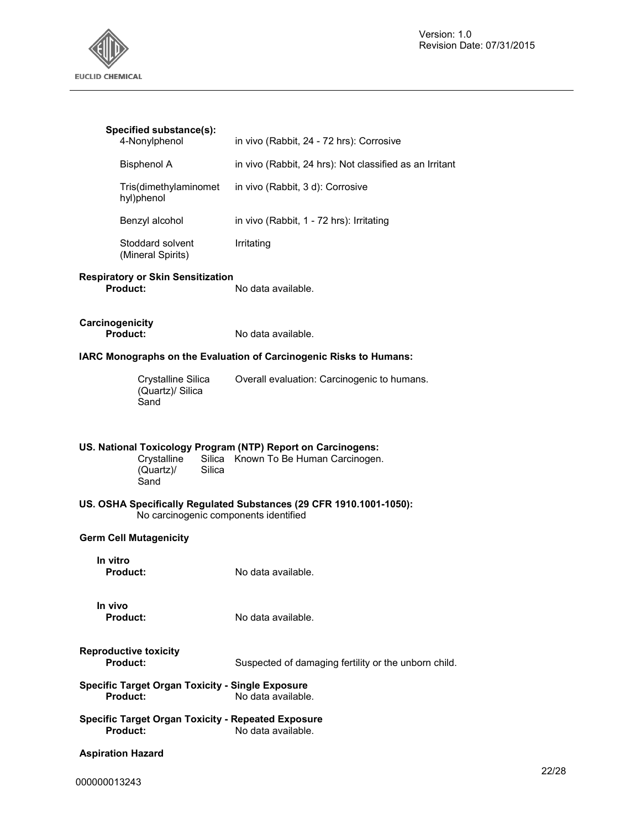

| Specified substance(s):<br>4-Nonylphenol                                                                   | in vivo (Rabbit, 24 - 72 hrs): Corrosive                            |
|------------------------------------------------------------------------------------------------------------|---------------------------------------------------------------------|
| <b>Bisphenol A</b>                                                                                         | in vivo (Rabbit, 24 hrs): Not classified as an Irritant             |
| Tris(dimethylaminomet<br>hyl)phenol                                                                        | in vivo (Rabbit, 3 d): Corrosive                                    |
| Benzyl alcohol                                                                                             | in vivo (Rabbit, 1 - 72 hrs): Irritating                            |
| Stoddard solvent<br>(Mineral Spirits)                                                                      | Irritating                                                          |
| <b>Respiratory or Skin Sensitization</b><br>Product:                                                       | No data available.                                                  |
| Carcinogenicity<br>Product:                                                                                | No data available.                                                  |
|                                                                                                            | IARC Monographs on the Evaluation of Carcinogenic Risks to Humans:  |
| Crystalline Silica<br>(Quartz)/ Silica<br>Sand                                                             | Overall evaluation: Carcinogenic to humans.                         |
| US. National Toxicology Program (NTP) Report on Carcinogens:<br>Crystalline<br>(Quartz)/<br>Silica<br>Sand | Silica Known To Be Human Carcinogen.                                |
| No carcinogenic components identified                                                                      | US. OSHA Specifically Regulated Substances (29 CFR 1910.1001-1050): |
| <b>Germ Cell Mutagenicity</b>                                                                              |                                                                     |
| In vitro<br><b>Product:</b>                                                                                | No data available.                                                  |
| In vivo<br><b>Product:</b>                                                                                 | No data available.                                                  |
| <b>Reproductive toxicity</b><br><b>Product:</b>                                                            | Suspected of damaging fertility or the unborn child.                |
| <b>Specific Target Organ Toxicity - Single Exposure</b><br>Product:                                        | No data available.                                                  |
| <b>Specific Target Organ Toxicity - Repeated Exposure</b><br>Product:                                      | No data available.                                                  |
| <b>Aspiration Hazard</b>                                                                                   |                                                                     |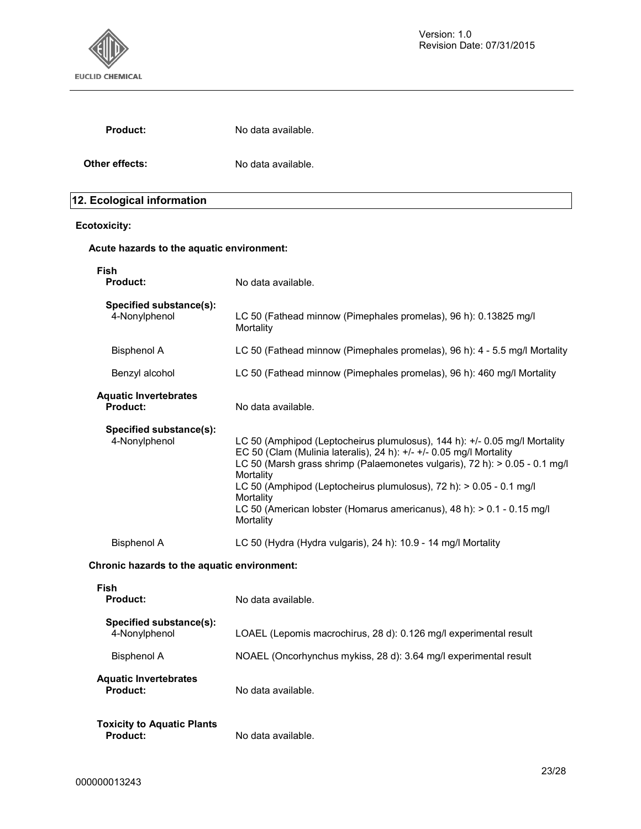

| <b>Product:</b>                                 | No data available.                                                                                                                                                                                                                                                                                                                                                                                                       |
|-------------------------------------------------|--------------------------------------------------------------------------------------------------------------------------------------------------------------------------------------------------------------------------------------------------------------------------------------------------------------------------------------------------------------------------------------------------------------------------|
| Other effects:                                  | No data available.                                                                                                                                                                                                                                                                                                                                                                                                       |
| 12. Ecological information                      |                                                                                                                                                                                                                                                                                                                                                                                                                          |
| <b>Ecotoxicity:</b>                             |                                                                                                                                                                                                                                                                                                                                                                                                                          |
| Acute hazards to the aquatic environment:       |                                                                                                                                                                                                                                                                                                                                                                                                                          |
| Fish<br><b>Product:</b>                         | No data available.                                                                                                                                                                                                                                                                                                                                                                                                       |
| Specified substance(s):<br>4-Nonylphenol        | LC 50 (Fathead minnow (Pimephales promelas), 96 h): 0.13825 mg/l<br>Mortality                                                                                                                                                                                                                                                                                                                                            |
| <b>Bisphenol A</b>                              | LC 50 (Fathead minnow (Pimephales promelas), 96 h): 4 - 5.5 mg/l Mortality                                                                                                                                                                                                                                                                                                                                               |
| Benzyl alcohol                                  | LC 50 (Fathead minnow (Pimephales promelas), 96 h): 460 mg/l Mortality                                                                                                                                                                                                                                                                                                                                                   |
| <b>Aquatic Invertebrates</b><br><b>Product:</b> | No data available.                                                                                                                                                                                                                                                                                                                                                                                                       |
| Specified substance(s):<br>4-Nonylphenol        | LC 50 (Amphipod (Leptocheirus plumulosus), 144 h): +/- 0.05 mg/l Mortality<br>EC 50 (Clam (Mulinia lateralis), 24 h): +/- +/- 0.05 mg/l Mortality<br>LC 50 (Marsh grass shrimp (Palaemonetes vulgaris), 72 h): > 0.05 - 0.1 mg/l<br>Mortality<br>LC 50 (Amphipod (Leptocheirus plumulosus), 72 h): > 0.05 - 0.1 mg/l<br>Mortality<br>LC 50 (American lobster (Homarus americanus), 48 h): > 0.1 - 0.15 mg/l<br>Mortality |
| <b>Bisphenol A</b>                              | LC 50 (Hydra (Hydra vulgaris), 24 h): 10.9 - 14 mg/l Mortality                                                                                                                                                                                                                                                                                                                                                           |
| Chronic hazards to the aquatic environment:     |                                                                                                                                                                                                                                                                                                                                                                                                                          |
| Fish<br><b>Product:</b>                         | No data available.                                                                                                                                                                                                                                                                                                                                                                                                       |
| Specified substance(s):<br>4-Nonylphenol        | LOAEL (Lepomis macrochirus, 28 d): 0.126 mg/l experimental result                                                                                                                                                                                                                                                                                                                                                        |
| <b>Bisphenol A</b>                              | NOAEL (Oncorhynchus mykiss, 28 d): 3.64 mg/l experimental result                                                                                                                                                                                                                                                                                                                                                         |
| <b>Aquatic Invertebrates</b><br><b>Product:</b> | No data available.                                                                                                                                                                                                                                                                                                                                                                                                       |
| <b>Toxicity to Aquatic Plants</b>               |                                                                                                                                                                                                                                                                                                                                                                                                                          |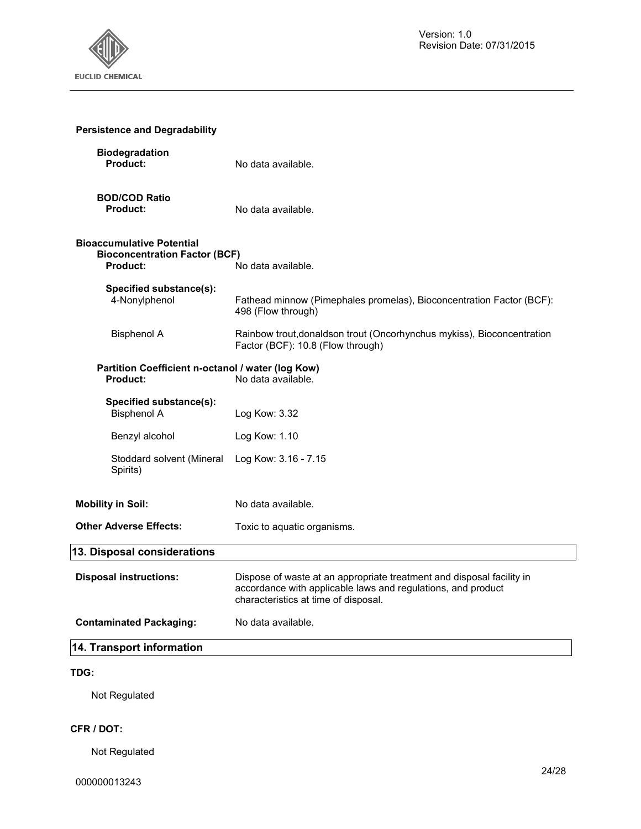

| <b>Persistence and Degradability</b>                                                 |                                                                                                                                                                               |
|--------------------------------------------------------------------------------------|-------------------------------------------------------------------------------------------------------------------------------------------------------------------------------|
| <b>Biodegradation</b><br>Product:                                                    | No data available.                                                                                                                                                            |
| <b>BOD/COD Ratio</b><br>Product:                                                     | No data available.                                                                                                                                                            |
| <b>Bioaccumulative Potential</b><br><b>Bioconcentration Factor (BCF)</b><br>Product: | No data available.                                                                                                                                                            |
| Specified substance(s):<br>4-Nonylphenol                                             | Fathead minnow (Pimephales promelas), Bioconcentration Factor (BCF):<br>498 (Flow through)                                                                                    |
| <b>Bisphenol A</b>                                                                   | Rainbow trout, donaldson trout (Oncorhynchus mykiss), Bioconcentration<br>Factor (BCF): 10.8 (Flow through)                                                                   |
| Partition Coefficient n-octanol / water (log Kow)<br>Product:                        | No data available.                                                                                                                                                            |
| Specified substance(s):<br><b>Bisphenol A</b>                                        | Log Kow: 3.32                                                                                                                                                                 |
| Benzyl alcohol                                                                       | Log Kow: 1.10                                                                                                                                                                 |
| Stoddard solvent (Mineral<br>Spirits)                                                | Log Kow: 3.16 - 7.15                                                                                                                                                          |
| <b>Mobility in Soil:</b>                                                             | No data available.                                                                                                                                                            |
| <b>Other Adverse Effects:</b>                                                        | Toxic to aquatic organisms.                                                                                                                                                   |
| 13. Disposal considerations                                                          |                                                                                                                                                                               |
| <b>Disposal instructions:</b>                                                        | Dispose of waste at an appropriate treatment and disposal facility in<br>accordance with applicable laws and regulations, and product<br>characteristics at time of disposal. |
| <b>Contaminated Packaging:</b>                                                       | No data available.                                                                                                                                                            |
| 14. Transport information                                                            |                                                                                                                                                                               |
| TDG:                                                                                 |                                                                                                                                                                               |

Not Regulated

## **CFR / DOT:**

Not Regulated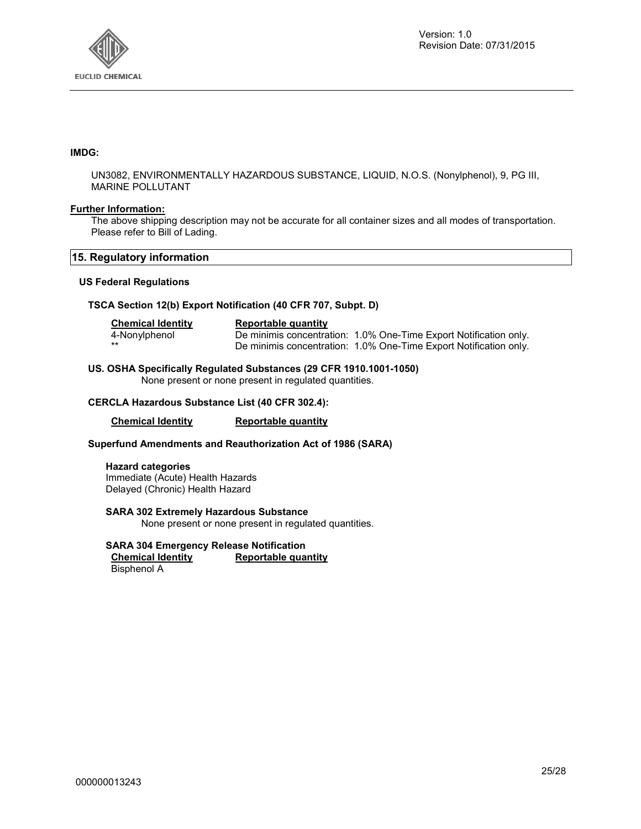

#### **IMDG:**

UN3082, ENVIRONMENTALLY HAZARDOUS SUBSTANCE, LIQUID, N.O.S. (Nonylphenol), 9, PG III, MARINE POLLUTANT

#### **Further Information:**

The above shipping description may not be accurate for all container sizes and all modes of transportation. Please refer to Bill of Lading.

#### **15. Regulatory information**

#### **US Federal Regulations**

#### **TSCA Section 12(b) Export Notification (40 CFR 707, Subpt. D)**

| <b>Chemical Identity</b> | Reportable quantity                                               |  |
|--------------------------|-------------------------------------------------------------------|--|
| 4-Nonylphenol            | De minimis concentration: 1.0% One-Time Export Notification only. |  |
|                          | De minimis concentration: 1.0% One-Time Export Notification only. |  |

#### **US. OSHA Specifically Regulated Substances (29 CFR 1910.1001-1050)**

None present or none present in regulated quantities.

#### **CERCLA Hazardous Substance List (40 CFR 302.4):**

**Chemical Identity Reportable quantity** 

#### **Superfund Amendments and Reauthorization Act of 1986 (SARA)**

**Hazard categories**  Immediate (Acute) Health Hazards Delayed (Chronic) Health Hazard

#### **SARA 302 Extremely Hazardous Substance**

None present or none present in regulated quantities.

## **SARA 304 Emergency Release Notification**

**Reportable quantity** Bisphenol A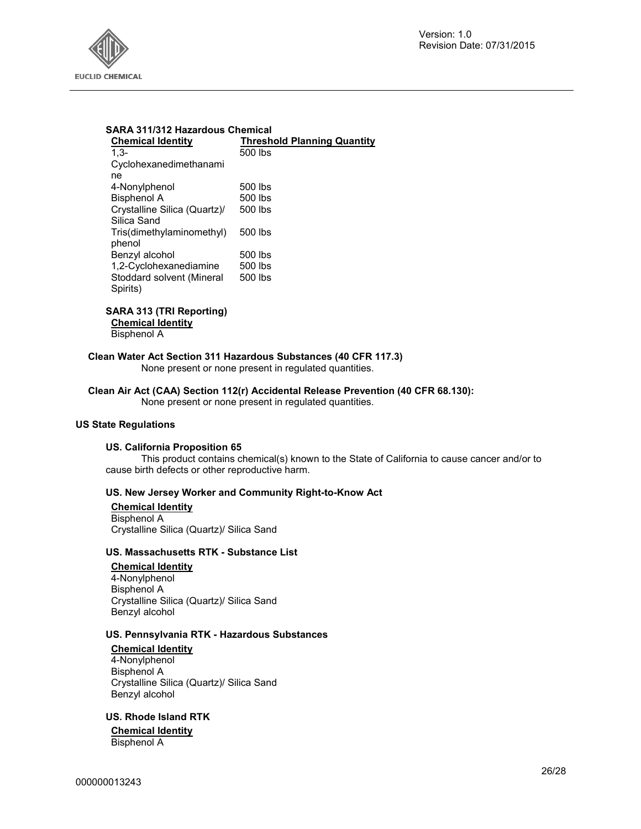

#### **SARA 311/312 Hazardous Chemical Chemical Identity Threshold Planning Quantity** 1,3- Cyclohexanedimethanami ne 500 lbs 4-Nonylphenol 500 lbs Bisphenol A 500 lbs Crystalline Silica (Quartz)/ Silica Sand 500 lbs Tris(dimethylaminomethyl) phenol 500 lbs Benzyl alcohol 500 lbs<br>1.2-Cyclohexanediamine 500 lbs  $1,2$ -Cyclohexanediamine Stoddard solvent (Mineral Spirits) 500 lbs

## **SARA 313 (TRI Reporting) Chemical Identity**

Bisphenol A

#### **Clean Water Act Section 311 Hazardous Substances (40 CFR 117.3)**

None present or none present in regulated quantities.

### **Clean Air Act (CAA) Section 112(r) Accidental Release Prevention (40 CFR 68.130):**

None present or none present in regulated quantities.

#### **US State Regulations**

#### **US. California Proposition 65**

This product contains chemical(s) known to the State of California to cause cancer and/or to cause birth defects or other reproductive harm.

#### **US. New Jersey Worker and Community Right-to-Know Act**

**Chemical Identity** Bisphenol A Crystalline Silica (Quartz)/ Silica Sand

#### **US. Massachusetts RTK - Substance List**

**Chemical Identity** 4-Nonylphenol Bisphenol A Crystalline Silica (Quartz)/ Silica Sand Benzyl alcohol

#### **US. Pennsylvania RTK - Hazardous Substances**

**Chemical Identity** 4-Nonylphenol Bisphenol A Crystalline Silica (Quartz)/ Silica Sand Benzyl alcohol

**US. Rhode Island RTK** 

**Chemical Identity** Bisphenol A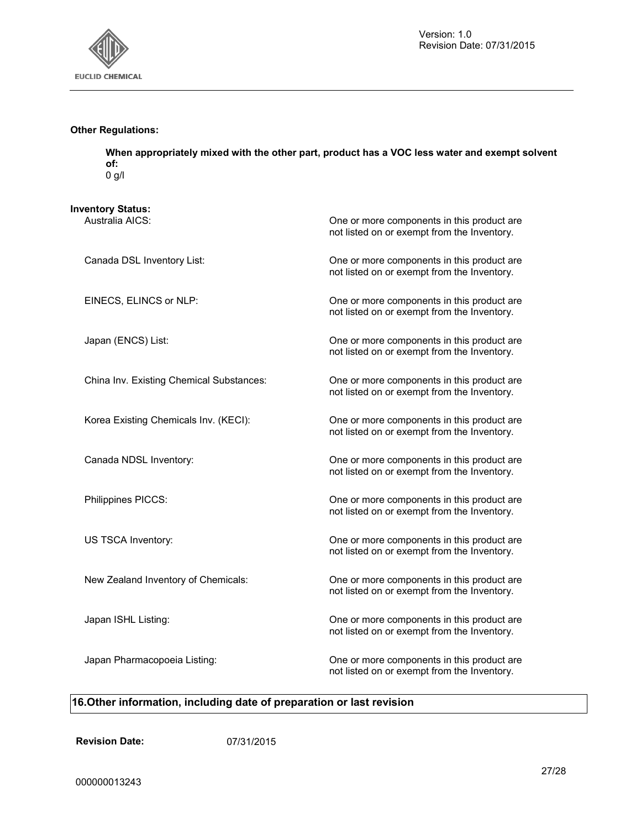

#### **Other Regulations:**

**When appropriately mixed with the other part, product has a VOC less water and exempt solvent of:**  0 g/l

**Inventory Status:**

| Australia AICS:                          | One or more components in this product are<br>not listed on or exempt from the Inventory. |
|------------------------------------------|-------------------------------------------------------------------------------------------|
| Canada DSL Inventory List:               | One or more components in this product are<br>not listed on or exempt from the Inventory. |
| EINECS, ELINCS or NLP:                   | One or more components in this product are<br>not listed on or exempt from the Inventory. |
| Japan (ENCS) List:                       | One or more components in this product are<br>not listed on or exempt from the Inventory. |
| China Inv. Existing Chemical Substances: | One or more components in this product are<br>not listed on or exempt from the Inventory. |
| Korea Existing Chemicals Inv. (KECI):    | One or more components in this product are<br>not listed on or exempt from the Inventory. |
| Canada NDSL Inventory:                   | One or more components in this product are<br>not listed on or exempt from the Inventory. |
| Philippines PICCS:                       | One or more components in this product are<br>not listed on or exempt from the Inventory. |
| US TSCA Inventory:                       | One or more components in this product are<br>not listed on or exempt from the Inventory. |
| New Zealand Inventory of Chemicals:      | One or more components in this product are<br>not listed on or exempt from the Inventory. |
| Japan ISHL Listing:                      | One or more components in this product are<br>not listed on or exempt from the Inventory. |
| Japan Pharmacopoeia Listing:             | One or more components in this product are<br>not listed on or exempt from the Inventory. |

## **16.Other information, including date of preparation or last revision**

**Revision Date:** 07/31/2015